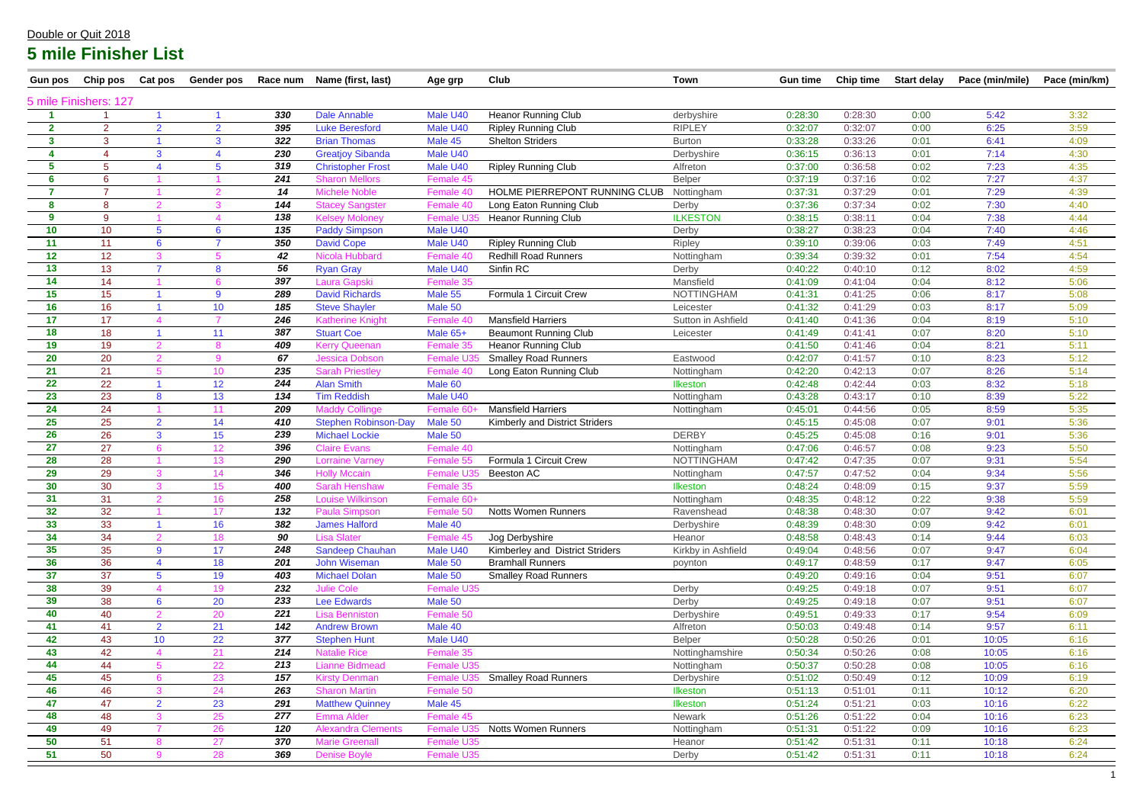| <b>Gun pos</b>          | Chip pos              | <b>Cat pos</b>      | <b>Gender pos</b> |     | Race num Name (first, last) | Age grp    | Club                            | <b>Town</b>        | <b>Gun time</b> | Chip time | <b>Start delay</b> | Pace (min/mile) | Pace (min/km) |
|-------------------------|-----------------------|---------------------|-------------------|-----|-----------------------------|------------|---------------------------------|--------------------|-----------------|-----------|--------------------|-----------------|---------------|
|                         | 5 mile Finishers: 127 |                     |                   |     |                             |            |                                 |                    |                 |           |                    |                 |               |
|                         |                       |                     |                   | 330 | <b>Dale Annable</b>         | Male U40   | <b>Heanor Running Club</b>      | derbyshire         | 0:28:30         | 0:28:30   | 0:00               | 5:42            | 3:32          |
| $\mathbf{2}$            | $\overline{2}$        | $\overline{2}$      | 2 <sup>1</sup>    | 395 | <b>Luke Beresford</b>       | Male U40   | <b>Ripley Running Club</b>      | <b>RIPLEY</b>      | 0:32:07         | 0:32:07   | 0:00               | 6:25            | 3:59          |
| $\mathbf{3}$            | 3                     |                     | 3                 | 322 | <b>Brian Thomas</b>         | Male 45    | <b>Shelton Striders</b>         | <b>Burton</b>      | 0:33:28         | 0:33:26   | 0:01               | 6:41            | 4:09          |
| 4                       | 4                     | 3                   | $\boldsymbol{4}$  | 230 | <b>Greatjoy Sibanda</b>     | Male U40   |                                 | Derbyshire         | 0:36:15         | 0:36:13   | 0:01               | 7:14            | 4:30          |
| 5                       | 5                     |                     | 5                 | 319 | <b>Christopher Frost</b>    | Male U40   | <b>Ripley Running Club</b>      | Alfreton           | 0:37:00         | 0:36:58   | 0:02               | 7:23            | 4:35          |
| 6                       | 6                     |                     |                   | 241 | <b>Sharon Mellors</b>       | Female 45  |                                 | Belper             | 0:37:19         | 0:37:16   | 0:02               | 7:27            | 4:37          |
| $\overline{\mathbf{z}}$ | $\overline{7}$        |                     |                   | 14  | <b>Michele Noble</b>        | Female 40  | HOLME PIERREPONT RUNNING CLUB   | Nottingham         | 0:37:31         | 0:37:29   | 0:01               | 7:29            | 4:39          |
| 8                       | 8                     |                     |                   | 144 | <b>Stacey Sangster</b>      | Female 40  | Long Eaton Running Club         | Derby              | 0:37:36         | 0:37:34   | 0:02               | 7:30            | 4:40          |
| 9                       | 9                     |                     |                   | 138 | <b>Kelsey Moloney</b>       | Female U3  | <b>Heanor Running Club</b>      | <b>ILKESTON</b>    | 0:38:15         | 0:38:11   | 0:04               | 7:38            | 4:44          |
| 10                      | 10                    | $5\phantom{.0}$     | $6^{\circ}$       | 135 | <b>Paddy Simpson</b>        | Male U40   |                                 | Derby              | 0:38:27         | 0:38:23   | 0:04               | 7:40            | 4:46          |
| 11                      | 11                    | $6\phantom{1}6$     |                   | 350 | <b>David Cope</b>           | Male U40   | <b>Ripley Running Club</b>      | <b>Ripley</b>      | 0:39:10         | 0:39:06   | 0:03               | 7:49            | 4:51          |
| 12                      | 12                    | 3                   |                   | 42  | Nicola Hubbard              | Female 40  | <b>Redhill Road Runners</b>     | Nottingham         | 0:39:34         | 0:39:32   | 0:01               | 7:54            | 4:54          |
| 13                      | 13                    |                     | 8                 | 56  | <b>Ryan Gray</b>            | Male U40   | Sinfin RC                       | Derby              | 0:40:22         | 0:40:10   | 0:12               | 8:02            | 4:59          |
| 14                      | 14                    |                     |                   | 397 | <b>Laura Gapski</b>         | Female 35  |                                 | Mansfield          | 0:41:09         | 0:41:04   | 0:04               | 8:12            | 5:06          |
| 15                      | 15                    |                     | 9                 | 289 | <b>David Richards</b>       | Male 55    | Formula 1 Circuit Crew          | <b>NOTTINGHAM</b>  | 0:41:31         | 0:41:25   | 0:06               | 8:17            | 5:08          |
| 16                      | 16                    |                     | 10 <sup>°</sup>   | 185 | <b>Steve Shayler</b>        | Male 50    |                                 | Leicester          | 0:41:32         | 0:41:29   | 0:03               | 8:17            | 5:09          |
| 17                      | 17                    |                     |                   | 246 | <b>Katherine Knight</b>     | Female 40  | <b>Mansfield Harriers</b>       | Sutton in Ashfield | 0:41:40         | 0:41:36   | 0:04               | 8:19            | 5:10          |
| 18                      | 18                    |                     | 11                | 387 | <b>Stuart Coe</b>           | Male 65+   | <b>Beaumont Running Club</b>    | Leicester          | 0:41:49         | 0:41:41   | 0:07               | 8:20            | 5:10          |
| 19                      | 19                    | 2                   | 8                 | 409 | <b>Kerry Queenan</b>        | Female 35  | <b>Heanor Running Club</b>      |                    | 0:41:50         | 0:41:46   | 0:04               | 8:21            | 5:11          |
| 20                      | 20                    | 2                   | 9                 | 67  | <b>Jessica Dobson</b>       | Female U3  | <b>Smalley Road Runners</b>     | Eastwood           | 0:42:07         | 0:41:57   | 0:10               | 8:23            | 5:12          |
| 21                      | 21                    |                     | 10 <sup>°</sup>   | 235 | <b>Sarah Priestley</b>      | Female 40  | Long Eaton Running Club         | Nottingham         | 0:42:20         | 0:42:13   | 0:07               | 8:26            | 5:14          |
| 22                      | 22                    |                     | 12                | 244 | <b>Alan Smith</b>           | Male 60    |                                 | <b>Ilkeston</b>    | 0:42:48         | 0:42:44   | 0:03               | 8:32            | 5:18          |
| 23                      | 23                    | 8                   | 13                | 134 | <b>Tim Reddish</b>          | Male U40   |                                 | Nottingham         | 0:43:28         | 0:43:17   | 0:10               | 8:39            | 5:22          |
| 24                      | 24                    |                     | 11                | 209 | <b>Maddy Collinge</b>       | Female 60- | <b>Mansfield Harriers</b>       | Nottingham         | 0:45:01         | 0:44:56   | 0:05               | 8:59            | 5:35          |
| 25                      | 25                    | $\overline{2}$      | 14                | 410 | <b>Stephen Robinson-Day</b> | Male 50    | Kimberly and District Striders  |                    | 0:45:15         | 0:45:08   | 0:07               | 9:01            | 5:36          |
| 26                      | 26                    | $\mathbf{3}$        | 15                | 239 | <b>Michael Lockie</b>       | Male 50    |                                 | <b>DERBY</b>       | 0:45:25         | 0:45:08   | 0:16               | 9:01            | 5:36          |
| 27                      | 27                    |                     | 12                | 396 | <b>Claire Evans</b>         | Female 40  |                                 | Nottingham         | 0:47:06         | 0:46:57   | 0:08               | 9:23            | 5:50          |
| 28                      | 28                    |                     | 13 <sup>°</sup>   | 290 | <b>Lorraine Varney</b>      | Female 55  | Formula 1 Circuit Crew          | <b>NOTTINGHAM</b>  | 0:47:42         | 0:47:35   | 0:07               | 9:31            | 5:54          |
| 29                      | 29                    | 3                   | 14                | 346 | <b>Holly Mccain</b>         | Female U3  | Beeston AC                      | Nottingham         | 0:47:57         | 0:47:52   | 0:04               | 9:34            | 5:56          |
| 30                      | 30                    | 3                   | 15                | 400 | <b>Sarah Henshaw</b>        | Female 35  |                                 | Ilkeston           | 0:48:24         | 0:48:09   | 0:15               | 9:37            | 5:59          |
| 31                      | 31                    |                     | 16                | 258 | <b>Louise Wilkinson</b>     | Female 60+ |                                 | Nottingham         | 0:48:35         | 0:48:12   | 0:22               | 9:38            | 5:59          |
| 32                      | 32                    |                     | 17                | 132 | <b>Paula Simpson</b>        | Female 50  | Notts Women Runners             | Ravenshead         | 0:48:38         | 0:48:30   | 0:07               | 9:42            | 6:01          |
| 33                      | 33                    |                     | 16                | 382 | <b>James Halford</b>        | Male 40    |                                 | Derbyshire         | 0:48:39         | 0:48:30   | 0:09               | 9:42            | 6:01          |
| 34                      | 34                    | $\mathcal{P}$       | 18                | 90  | <b>Lisa Slater</b>          | Female 45  | Jog Derbyshire                  | Heanor             | 0:48:58         | 0:48:43   | 0:14               | 9:44            | 6:03          |
| 35 <sub>5</sub>         | 35                    | 9                   | 17                | 248 | <b>Sandeep Chauhan</b>      | Male U40   | Kimberley and District Striders | Kirkby in Ashfield | 0:49:04         | 0:48:56   | 0:07               | 9:47            | 6:04          |
| 36                      | 36                    | $\overline{4}$      | 18                | 201 | John Wiseman                | Male 50    | <b>Bramhall Runners</b>         | poynton            | 0:49:17         | 0:48:59   | 0:17               | 9:47            | 6:05          |
| 37                      | 37                    | $5\phantom{.0}$     | 19                | 403 | <b>Michael Dolan</b>        | Male 50    | <b>Smalley Road Runners</b>     |                    | 0:49:20         | 0:49:16   | 0:04               | 9:51            | 6:07          |
| 38                      | 39                    |                     | 19                | 232 | <b>Julie Cole</b>           | Female U35 |                                 | Derby              | 0:49:25         | 0:49:18   | 0:07               | 9:51            | 6:07          |
| 39                      | 38                    | $6\phantom{1}6$     | 20                | 233 | <b>Lee Edwards</b>          | Male 50    |                                 | Derby              | 0:49:25         | 0:49:18   | 0:07               | 9:51            | 6:07          |
| 40                      | 40                    |                     | 20                | 221 | <b>Lisa Benniston</b>       | Female 50  |                                 | Derbyshire         | 0:49:51         | 0:49:33   | 0:17               | 9:54            | 6:09          |
| 41                      | 41                    | $\overline{2}$      | 21                | 142 | <b>Andrew Brown</b>         | Male 40    |                                 | Alfreton           | 0:50:03         | 0:49:48   | 0:14               | 9:57            | 6:11          |
| 42                      | 43                    | 10 <sup>°</sup>     | 22                | 377 | <b>Stephen Hunt</b>         | Male U40   |                                 | Belper             | 0:50:28         | 0:50:26   | 0:01               | 10:05           | 6:16          |
| 43                      | 42                    |                     | 21                | 214 | <b>Natalie Rice</b>         | Female 35  |                                 | Nottinghamshire    | 0:50:34         | 0:50:26   | 0:08               | 10:05           | 6:16          |
| 44                      | 44                    | 5                   | 22                | 213 | <b>Lianne Bidmead</b>       | Female U35 |                                 | Nottingham         | 0:50:37         | 0:50:28   | 0:08               | 10:05           | 6:16          |
| 45                      | 45                    | 6                   | 23                | 157 | <b>Kirsty Denman</b>        | Female U3  | <b>Smalley Road Runners</b>     | Derbyshire         | 0:51:02         | 0:50:49   | 0:12               | 10:09           | 6:19          |
| 46                      | 46                    | 3                   | 24                | 263 | <b>Sharon Martin</b>        | Female 50  |                                 | <b>Ilkeston</b>    | 0:51:13         | 0:51:01   | 0:11               | 10:12           | 6:20          |
| 47                      | 47                    | $\overline{2}$<br>3 | 23                | 291 | <b>Matthew Quinney</b>      | Male 45    |                                 | <b>Ilkeston</b>    | 0:51:24         | 0:51:21   | 0:03               | 10:16           | 6:22          |
| 48                      | 48                    |                     | 25                | 277 | Emma Alder                  | Female 45  |                                 | Newark             | 0:51:26         | 0:51:22   | 0:04               | 10:16           | 6:23          |
| 49                      | 49                    |                     | 26                | 120 | <b>Alexandra Clements</b>   | Female U35 | <b>Notts Women Runners</b>      | Nottingham         | 0:51:31         | 0:51:22   | 0:09               | 10:16           | 6:23          |
| 50                      | 51                    |                     | 27                | 370 | <b>Marie Greenall</b>       | Female U35 |                                 | Heanor             | 0:51:42         | 0:51:31   | 0:11               | 10:18           | 6:24          |
| 51                      | 50                    | 9                   | 28                | 369 | <b>Denise Boyle</b>         | Female U35 |                                 | Derby              | 0:51:42         | 0:51:31   | 0:11               | 10:18           | 6:24          |

| me | <b>Start delay</b> | Pace (min/mile) | Pace (min/km) |
|----|--------------------|-----------------|---------------|

#### Double or Quit 2018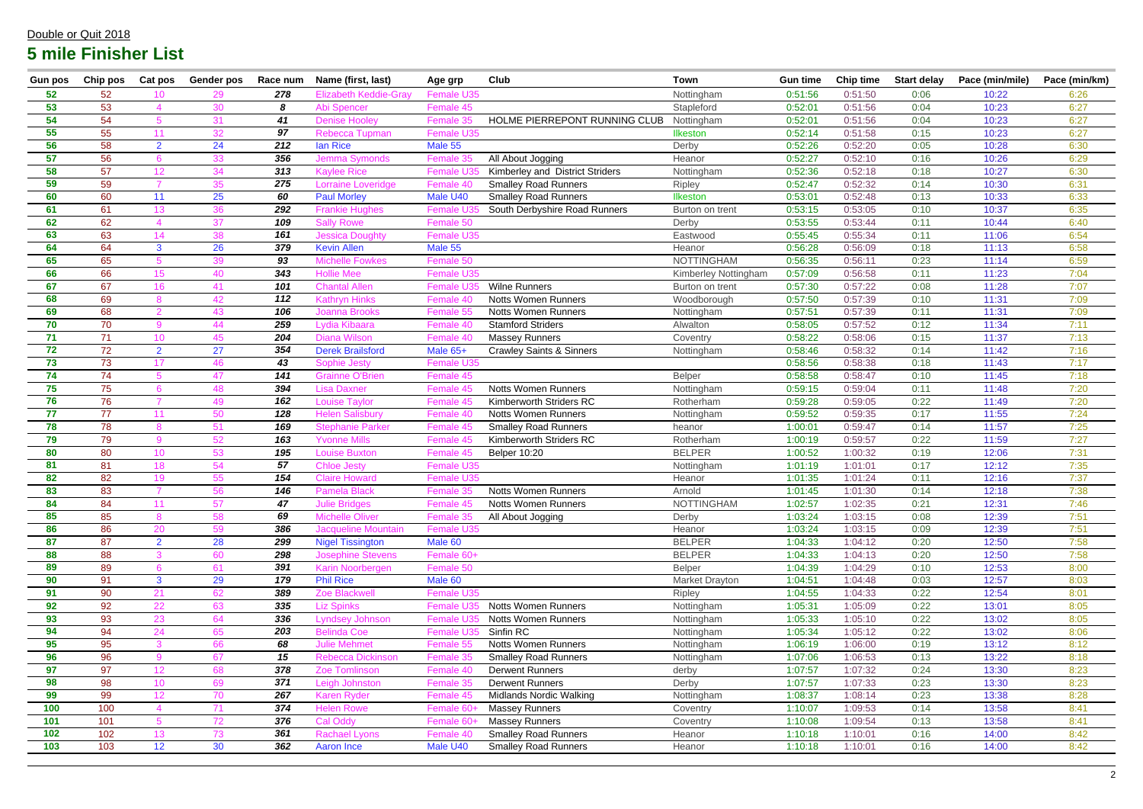| <b>Gun pos</b> | Chip pos | Cat pos              | <b>Gender pos</b> | Race num   | Name (first, last)                                    | Age grp               | <b>Club</b>                         | <b>Town</b>                 | <b>Gun time</b>    | Chip time          | <b>Start delay</b> | Pace (min/mile) | Pace (min/km) |
|----------------|----------|----------------------|-------------------|------------|-------------------------------------------------------|-----------------------|-------------------------------------|-----------------------------|--------------------|--------------------|--------------------|-----------------|---------------|
| 52             | 52       | 10                   | 29                | 278        | <b>Elizabeth Keddie-Gray</b>                          | Female U35            |                                     | Nottingham                  | 0:51:56            | 0:51:50            | 0:06               | 10:22           | 6:26          |
| 53             | 53       |                      | 30                | 8          | Abi Spencer                                           | Female 45             |                                     | Stapleford                  | 0:52:01            | 0:51:56            | 0:04               | 10:23           | 6:27          |
| 54             | 54       | 5                    | 31                | 41         | <b>Denise Hoolev</b>                                  | Female 35             | HOLME PIERREPONT RUNNING CLUB       | Nottingham                  | 0:52:01            | 0:51:56            | 0:04               | 10:23           | 6:27          |
| 55             | 55       | 11                   | 32                | 97         | Rebecca Tupman                                        | <b>Female U35</b>     |                                     | <b>Ilkeston</b>             | 0:52:14            | 0:51:58            | 0:15               | 10:23           | 6:27          |
| 56             | 58       | $\overline{2}$       | 24                | 212        | lan Rice                                              | Male 55               |                                     | Derby                       | 0:52:26            | 0:52:20            | 0:05               | 10:28           | 6:30          |
| 57             | 56       |                      | 33                | 356        | <b>Jemma Symonds</b>                                  | Female 35             | All About Jogging                   | Heanor                      | 0:52:27            | 0:52:10            | 0:16               | 10:26           | 6:29          |
| 58             | 57       | 12 <sup>2</sup>      | 34                | 313        | <b>Kaylee Rice</b>                                    | Female L              | Kimberley and District Striders     | Nottingham                  | 0:52:36            | 0:52:18            | 0:18               | 10:27           | 6:30          |
| 59             | 59       |                      | 35                | 275        | <b>Lorraine Loveridge</b>                             | Female 40             | <b>Smalley Road Runners</b>         | Ripley                      | 0:52:47            | 0:52:32            | 0:14               | 10:30           | 6:31          |
| 60             | 60       | 11                   | 25                | 60         | <b>Paul Morley</b>                                    | Male U40              | <b>Smalley Road Runners</b>         | Ilkeston                    | 0:53:01            | 0:52:48            | 0:13               | 10:33           | 6:33          |
| 61             | 61       | 13 <sup>°</sup>      | 36                | 292        | <b>Frankie Hughes</b>                                 | <b>Female U3</b>      | South Derbyshire Road Runners       | Burton on trent             | 0:53:15            | 0:53:05            | 0:10               | 10:37           | 6:35          |
| 62             | 62       |                      | 37                | 109        | <b>Sally Rowe</b>                                     | Female 50             |                                     | Derby                       | 0:53:55            | 0:53:44            | 0:11               | 10:44           | 6:40          |
| 63             | 63       | 14                   | 38                | 161        | <b>Jessica Doughty</b>                                | Female U35            |                                     | Eastwood                    | 0:55:45            | 0:55:34            | 0:11               | 11:06           | 6:54          |
| 64             | 64       | 3                    | 26                | 379        | <b>Kevin Allen</b>                                    | Male 55               |                                     | Heanor                      | 0:56:28            | 0:56:09            | 0:18               | 11:13           | 6:58          |
| 65             | 65       |                      | 39                | 93         | <b>Michelle Fowkes</b>                                | Female 50             |                                     | <b>NOTTINGHAM</b>           | 0:56:35            | 0:56:11            | 0:23               | 11:14           | 6:59          |
| 66             | 66       | 15 <sup>15</sup>     | 40                | 343        | <b>Hollie Mee</b>                                     | Female U35            |                                     | <b>Kimberley Nottingham</b> | 0:57:09            | 0:56:58            | 0:11               | 11:23           | 7:04          |
| 67             | 67       | 16                   | 41                | 101        | <b>Chantal Allen</b>                                  | <b>Female U3</b>      | <b>Wilne Runners</b>                | Burton on trent             | 0:57:30            | 0:57:22            | 0:08               | 11:28           | 7:07          |
| 68             | 69       | $\mathsf{R}$         | 42                | 112        | <b>Kathrvn Hinks</b>                                  | Female 40             | <b>Notts Women Runners</b>          | Woodborough                 | 0:57:50            | 0:57:39            | 0:10               | 11:31           | 7:09          |
| 69             | 68       | $\overline{2}$       | 43                | 106        | <b>Joanna Brooks</b>                                  | Female 55             | <b>Notts Women Runners</b>          | Nottingham                  | 0:57:51            | 0:57:39            | 0:11               | 11:31           | 7:09          |
| 70             | 70       | $\mathbf{Q}$         | 44                | 259        | Lydia Kibaara                                         | Female 40             | <b>Stamford Striders</b>            | Alwalton                    | 0:58:05            | 0:57:52            | 0:12               | 11:34           | 7:11          |
| 71             | 71       | 10 <sup>°</sup>      | 45                | 204        | <b>Diana Wilson</b>                                   | Female 40             | <b>Massey Runners</b>               | Coventry                    | 0:58:22            | 0:58:06            | 0:15               | 11:37           | 7:13          |
| 72             | 72       | $\overline{2}$       | 27                | 354        | <b>Derek Brailsford</b>                               | Male 65+              | <b>Crawley Saints &amp; Sinners</b> | Nottingham                  | 0:58:46            | 0:58:32            | 0:14               | 11:42           | 7:16          |
| 73             | 73       | 17 <sup>2</sup>      | 46                | 43         | Sophie Jesty                                          | Female U35            |                                     |                             | 0:58:56            | 0:58:38            | 0:18               | 11:43           | 7:17          |
| 74             | 74       |                      | 47                | 141        | <b>Grainne O'Brien</b>                                | Female 45             |                                     | Belper                      | 0:58:58            | 0:58:47            | 0:10               | 11:45           | 7:18          |
| 75             | 75       |                      | 48                | 394        | <b>Lisa Daxner</b>                                    | Female 45             | <b>Notts Women Runners</b>          | Nottingham                  | 0:59:15            | 0:59:04            | 0:11               | 11:48           | 7:20          |
| 76             | 76       |                      | 49                | 162        | <b>Louise Taylor</b>                                  | Female 45             | Kimberworth Striders RC             | Rotherham                   | 0:59:28            | 0:59:05            | 0:22               | 11:49           | 7:20          |
| 77             | 77       | 11                   | 50                | 128        | <b>Helen Salisbury</b>                                | Female 40             | <b>Notts Women Runners</b>          | Nottingham                  | 0:59:52            | 0:59:35            | 0:17               | 11:55           | 7:24          |
| 78             | 78       | 8                    | 51                | 169        | <b>Stephanie Parker</b>                               | Female 45             | <b>Smalley Road Runners</b>         | heanor                      | 1:00:01            | 0:59:47            | 0:14               | 11:57           | 7:25          |
| 79             | 79       | $\mathbf{Q}$         | 52                | 163        | <b>Yvonne Mills</b>                                   | Female 45             | Kimberworth Striders RC             | Rotherham                   | 1:00:19            | 0:59:57            | 0:22               | 11:59           | 7:27          |
| 80             | 80       | 10 <sup>°</sup>      | 53                | 195        | <b>Louise Buxton</b>                                  | Female 45             | <b>Belper 10:20</b>                 | <b>BELPER</b>               | 1:00:52            | 1:00:32            | 0:19               | 12:06           | 7:31          |
| 81             | 81       | 18                   | 54                | 57         | <b>Chloe Jesty</b>                                    | <b>Female U35</b>     |                                     | Nottingham                  | 1:01:19            | 1:01:01            | 0:17               | 12:12           | 7:35          |
| 82             | 82       | 19                   | 55                | 154        | <b>Claire Howard</b>                                  | Female U35            |                                     | Heanor                      | 1:01:35            | 1:01:24            | 0:11               | 12:16           | 7:37          |
| 83             | 83       |                      | 56                | 146        | <b>Pamela Black</b>                                   | Female 35             | <b>Notts Women Runners</b>          | Arnold                      | 1:01:45            | 1:01:30            | 0:14               | 12:18           | 7:38          |
| 84             | 84       | 11                   | 57                | 47         | Julie Bridges                                         | <b>Female 45</b>      | <b>Notts Women Runners</b>          | NOTTINGHAM                  | 1:02:57            | 1:02:35            | 0:21               | 12:31           | 7:46          |
| 85             | 85       | 8                    | 58                | 69         | <b>Michelle Oliver</b>                                | Female 35             | All About Jogging                   | Derby                       | 1:03:24            | 1:03:15            | 0:08               | 12:39           | 7:51          |
| 86<br>87       | 86<br>87 | 20<br>2 <sup>1</sup> | 59<br>28          | 386<br>299 | <b>Jacqueline Mountain</b><br><b>Nigel Tissington</b> | Female U35<br>Male 60 |                                     | Heanor<br><b>BELPER</b>     | 1:03:24<br>1:04:33 | 1:03:15<br>1:04:12 | 0:09<br>0:20       | 12:39<br>12:50  | 7:51<br>7:58  |
| 88             | 88       | 3                    | 60                | 298        | <b>Josephine Stevens</b>                              | Female 60+            |                                     | <b>BELPER</b>               | 1:04:33            | 1:04:13            | 0:20               | 12:50           | 7:58          |
| 89             | 89       |                      | 61                | 391        | Karin Noorbergen                                      | Female 50             |                                     | Belper                      | 1:04:39            | 1:04:29            | 0:10               | 12:53           | 8:00          |
| 90             | 91       | 3 <sup>1</sup>       | 29                | 179        | <b>Phil Rice</b>                                      | Male 60               |                                     | <b>Market Drayton</b>       | 1:04:51            | 1:04:48            | 0:03               | 12:57           | 8:03          |
| 91             | 90       | 21                   | 62                | 389        | Zoe Blackwell                                         | Female U35            |                                     | <b>Ripley</b>               | 1:04:55            | 1:04:33            | 0:22               | 12:54           | 8:01          |
| 92             | 92       | 22                   | 63                | 335        | <b>Liz Spinks</b>                                     | Female U35            | <b>Notts Women Runners</b>          | Nottingham                  | 1:05:31            | 1:05:09            | 0:22               | 13:01           | 8:05          |
| 93             | 93       | 23                   | 64                | 336        | <b>Lyndsey Johnson</b>                                | Female U35            | <b>Notts Women Runners</b>          | Nottingham                  | 1:05:33            | 1:05:10            | 0:22               | 13:02           | 8:05          |
| 94             | 94       | 24                   | 65                | 203        | <b>Belinda Coe</b>                                    | Female U35            | Sinfin RC                           | Nottingham                  | 1:05:34            | 1:05:12            | 0:22               | 13:02           | 8:06          |
| 95             | 95       | 3                    | 66                | 68         | <b>Julie Mehmet</b>                                   | Female 55             | <b>Notts Women Runners</b>          | Nottingham                  | 1:06:19            | 1:06:00            | 0:19               | 13:12           | 8:12          |
| 96             | 96       | $\mathbf{Q}$         | 67                | 15         | Rebecca Dickinson                                     | Female 35             | <b>Smalley Road Runners</b>         | Nottingham                  | 1:07:06            | 1:06:53            | 0:13               | 13:22           | 8:18          |
| 97             | 97       | 12 <sup>°</sup>      | 68                | 378        | Zoe Tomlinson                                         | Female 40             | <b>Derwent Runners</b>              | derby                       | 1:07:57            | 1:07:32            | 0:24               | 13:30           | 8:23          |
| 98             | 98       | 10 <sup>°</sup>      | 69                | 371        | Leigh Johnston                                        | Female 35             | <b>Derwent Runners</b>              | Derby                       | 1:07:57            | 1:07:33            | 0:23               | 13:30           | 8:23          |
| 99             | 99       | 12 <sup>°</sup>      | 70                | 267        | <b>Karen Ryder</b>                                    | Female 45             | <b>Midlands Nordic Walking</b>      | Nottingham                  | 1:08:37            | 1:08:14            | 0:23               | 13:38           | 8:28          |
| 100            | 100      |                      | 71                | 374        | <b>Helen Rowe</b>                                     | Female 60+            | <b>Massey Runners</b>               | Coventry                    | 1:10:07            | 1:09:53            | 0:14               | 13:58           | 8:41          |
| 101            | 101      | $5^{\circ}$          | 72                | 376        | Cal Oddy                                              | Female 60+            | <b>Massey Runners</b>               | Coventry                    | 1:10:08            | 1:09:54            | 0:13               | 13:58           | 8:41          |
| 102            | 102      | 13 <sup>°</sup>      | 73                | 361        | <b>Rachael Lyons</b>                                  | Female 40             | <b>Smalley Road Runners</b>         | Heanor                      | 1:10:18            | 1:10:01            | 0:16               | 14:00           | 8:42          |
| 103            | 103      | 12 <sup>2</sup>      | 30                | 362        | Aaron Ince                                            | Male U40              | <b>Smalley Road Runners</b>         | Heanor                      | 1:10:18            | 1:10:01            | 0:16               | 14:00           | 8:42          |
|                |          |                      |                   |            |                                                       |                       |                                     |                             |                    |                    |                    |                 |               |

### Double or Quit 2018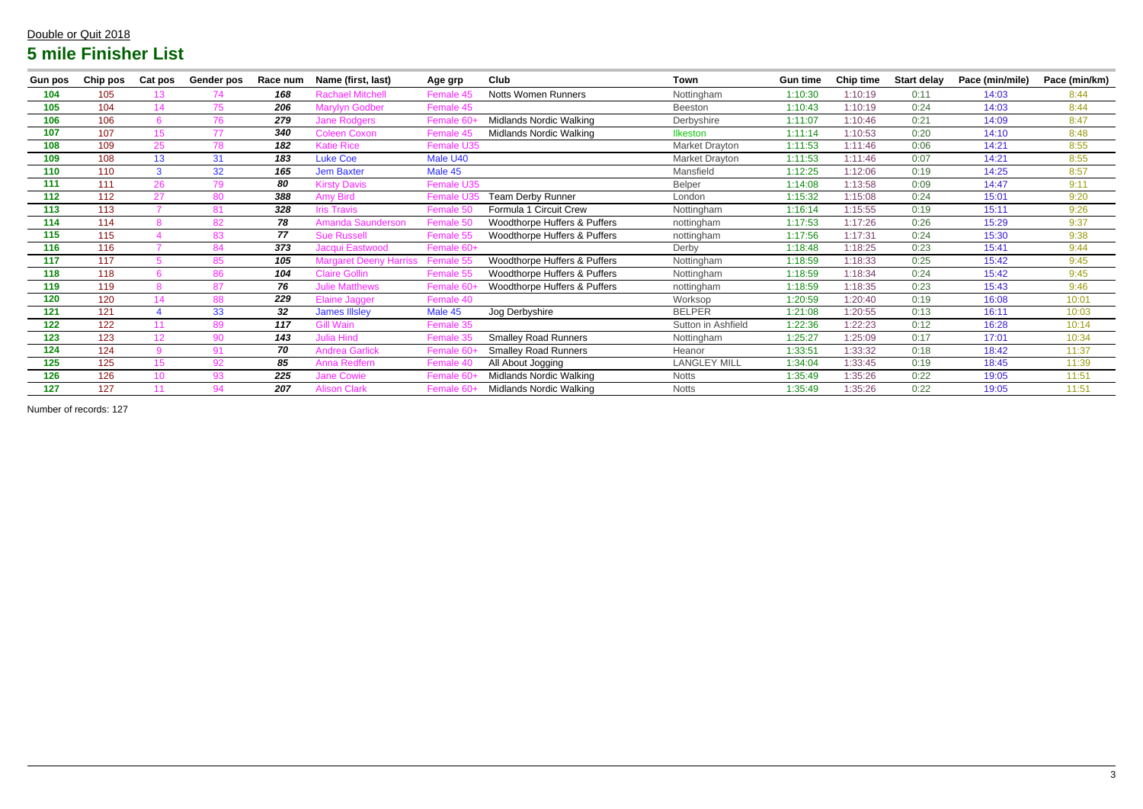| <b>Gun pos</b> | Chip pos | Cat pos          | <b>Gender pos</b> | Race num | Name (first, last)            | Age grp                | Club                                    | Town                | <b>Gun time</b> | Chip time | <b>Start delay</b> | Pace (min/mile) | Pace (min/km) |
|----------------|----------|------------------|-------------------|----------|-------------------------------|------------------------|-----------------------------------------|---------------------|-----------------|-----------|--------------------|-----------------|---------------|
| 104            | 105      | 13.              | 74                | 168      | <b>Rachael Mitchell</b>       | Female 45              | <b>Notts Women Runners</b>              | Nottingham          | 1:10:30         | 1:10:19   | 0:11               | 14:03           | 8:44          |
| 105            | 104      | 14               | 75                | 206      | <b>Marylyn Godber</b>         | Female 45              |                                         | <b>Beeston</b>      | 1:10:43         | 1:10:19   | 0:24               | 14:03           | 8:44          |
| 106            | 106      |                  | 76                | 279      | <b>Jane Rodgers</b>           | <b>Female</b>          | Midlands Nordic Walking                 | Derbyshire          | 1:11:07         | 1:10:46   | 0:21               | 14:09           | 8:47          |
| 107            | 107      | 15 <sup>15</sup> | 77                | 340      | <b>Coleen Coxon</b>           | Female 45              | Midlands Nordic Walking                 | <b>Ilkeston</b>     | 1:11:14         | 1:10:53   | 0:20               | 14:10           | 8:48          |
| 108            | 109      | 25               | 78                | 182      | <b>Katie Rice</b>             | Female U35             |                                         | Market Drayton      | 1:11:53         | 1:11:46   | 0:06               | 14:21           | 8:55          |
| 109            | 108      | 13               | 31                | 183      | <b>Luke Coe</b>               | Male U40               |                                         | Market Drayton      | 1:11:53         | 1:11:46   | 0:07               | 14:21           | 8:55          |
| 110            | 110      | $\mathbf{B}$     | 32                | 165      | <b>Jem Baxter</b>             | Male 45                |                                         | Mansfield           | 1:12:25         | 1:12:06   | 0:19               | 14:25           | 8:57          |
| 111            | 111      | 26               | 79                | 80       | <b>Kirsty Davis</b>           | Female U35             |                                         | Belper              | 1:14:08         | 1:13:58   | 0:09               | 14:47           | 9:11          |
| 112            | 112      | 27               | 80                | 388      | <b>Amy Bird</b>               | Female U3              | <b>Team Derby Runner</b>                | London              | 1:15:32         | 1:15:08   | 0:24               | 15:01           | 9:20          |
| 113            | 113      |                  | 81                | 328      | <b>Iris Travis</b>            | Female 50              | Formula 1 Circuit Crew                  | Nottingham          | 1:16:14         | 1:15:55   | 0:19               | 15:11           | 9:26          |
| 114            | 114      |                  | 82                | 78       | <b>Amanda Saunderson</b>      | Female 50              | Woodthorpe Huffers & Puffers            | nottingham          | 1:17:53         | 1:17:26   | 0:26               | 15:29           | 9:37          |
| 115            | 115      |                  | 83                | 77       | <b>Sue Russell</b>            | Female 55              | Woodthorpe Huffers & Puffers            | nottingham          | 1:17:56         | 1:17:31   | 0:24               | 15:30           | 9:38          |
| 116            | 116      |                  | 84                | 373      | Jacqui Eastwood               | Female 60+             |                                         | Derby               | 1:18:48         | 1:18:25   | 0:23               | 15:41           | 9:44          |
| 117            | 117      |                  | 85                | 105      | <b>Margaret Deeny Harriss</b> | Female 55              | Woodthorpe Huffers & Puffers            | Nottingham          | 1:18:59         | 1:18:33   | 0:25               | 15:42           | 9:45          |
| 118            | 118      |                  | 86                | 104      | <b>Claire Gollin</b>          | Female 55              | Woodthorpe Huffers & Puffers            | Nottingham          | 1:18:59         | 1:18:34   | 0:24               | 15:42           | 9:45          |
| 119            | 119      |                  | 87                | 76       | <b>Julie Matthews</b>         | Female 60-             | <b>Woodthorpe Huffers &amp; Puffers</b> | nottingham          | 1:18:59         | 1:18:35   | 0:23               | 15:43           | 9:46          |
| 120            | 120      | 14               | 88                | 229      | <b>Elaine Jagger</b>          | Female 40              |                                         | Worksop             | 1:20:59         | 1:20:40   | 0:19               | 16:08           | 10:01         |
| 121            | 121      |                  | 33                | 32       | <b>James Illsley</b>          | Male 45                | Jog Derbyshire                          | <b>BELPER</b>       | 1:21:08         | 1:20:55   | 0:13               | 16:11           | 10:03         |
| 122            | 122      | 11               | 89                | 117      | <b>Gill Wain</b>              | Female 35              |                                         | Sutton in Ashfield  | 1:22:36         | 1:22:23   | 0:12               | 16:28           | 10:14         |
| 123            | 123      | 12 <sub>2</sub>  | 90                | 143      | <b>Julia Hind</b>             | Female 35              | <b>Smalley Road Runners</b>             | Nottingham          | 1:25:27         | 1:25:09   | 0:17               | 17:01           | 10:34         |
| 124            | 124      | $\mathbf{Q}$     | 91                | 70       | <b>Andrea Garlick</b>         | Female 60-             | <b>Smalley Road Runners</b>             | Heanor              | 1:33:51         | 1:33:32   | 0:18               | 18:42           | 11:37         |
| 125            | 125      | 15               | 92                | 85       | Anna Redfern                  | Female 40              | All About Jogging                       | <b>LANGLEY MILL</b> | 1:34:04         | 1:33:45   | 0:19               | 18:45           | 11:39         |
| 126            | 126      | 10               | 93                | 225      | <b>Jane Cowie</b>             | Female 60 <sub>'</sub> | Midlands Nordic Walking                 | <b>Notts</b>        | 1:35:49         | 1:35:26   | 0:22               | 19:05           | 11:51         |
| 127            | 127      |                  | 94                | 207      | <b>Alison Clark</b>           | Female 60+             | Midlands Nordic Walking                 | <b>Notts</b>        | 1:35:49         | 1:35:26   | 0:22               | 19:05           | 11:51         |

Number of records: 127

#### Double or Quit 2018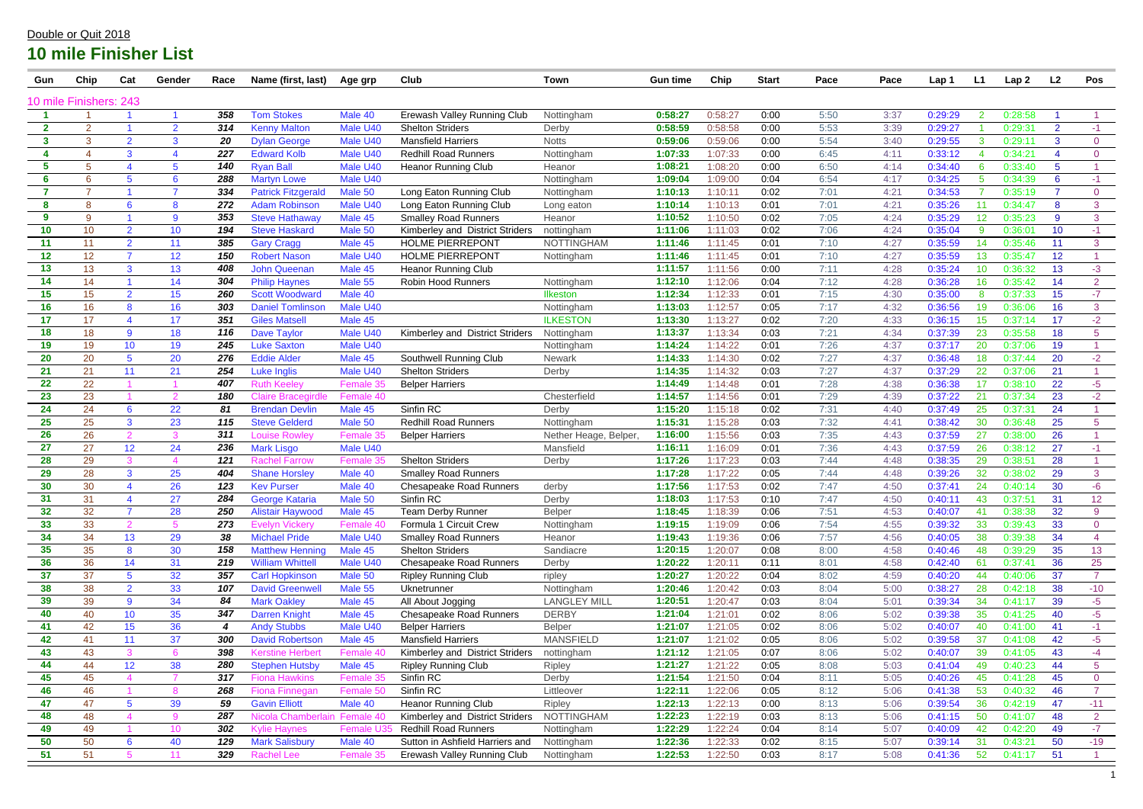| Gun          | Chip                   | Cat              | Gender          | Race | Name (first, last)           | Age grp         | Club                            | Town                 | <b>Gun time</b> | Chip    | <b>Start</b> | Pace | Pace | Lap 1   | L1 | Lap <sub>2</sub> | L2              | Pos            |
|--------------|------------------------|------------------|-----------------|------|------------------------------|-----------------|---------------------------------|----------------------|-----------------|---------|--------------|------|------|---------|----|------------------|-----------------|----------------|
|              | 10 mile Finishers: 243 |                  |                 |      |                              |                 |                                 |                      |                 |         |              |      |      |         |    |                  |                 |                |
|              |                        |                  |                 | 358  | <b>Tom Stokes</b>            | Male 40         | Erewash Valley Running Club     | Nottingham           | 0:58:27         | 0:58:27 | 0:00         | 5:50 | 3:37 | 0:29:29 | 2  | 0:28:58          |                 |                |
| $\mathbf{2}$ | $\overline{2}$         |                  | $\overline{2}$  | 314  | <b>Kenny Malton</b>          | Male U40        | <b>Shelton Striders</b>         | Derby                | 0:58:59         | 0:58:58 | 0:00         | 5:53 | 3:39 | 0:29:27 |    | 0:29:31          | $\overline{2}$  | $-1$           |
| $\mathbf{3}$ | 3                      | $\overline{2}$   | 3               | 20   | <b>Dylan George</b>          | Male U40        | <b>Mansfield Harriers</b>       | <b>Notts</b>         | 0:59:06         | 0:59:06 | 0:00         | 5:54 | 3:40 | 0:29:55 |    | 0:29:1'          | 3               | $\overline{0}$ |
|              |                        | 3                |                 | 227  | <b>Edward Kolb</b>           | Male U40        | <b>Redhill Road Runners</b>     | Nottingham           | 1:07:33         | 1:07:33 | 0:00         | 6:45 | 4:11 | 0:33:12 |    | 0:34:21          | 4               | $\overline{0}$ |
| 5            | 5                      |                  | $5\phantom{.0}$ | 140  | <b>Ryan Ball</b>             | Male U40        | <b>Heanor Running Club</b>      | Heanor               | 1:08:21         | 1:08:20 | 0:00         | 6:50 | 4:14 | 0:34:40 | 6  | 0:33:40          | $5\phantom{.0}$ |                |
| 6            | 6                      | 5                | 6               | 288  | <b>Martyn Lowe</b>           | Male U40        |                                 | Nottingham           | 1:09:04         | 1:09:00 | 0:04         | 6:54 | 4:17 | 0:34:25 | -5 | 0:34:39          | 6               | $-1$           |
|              | $\overline{7}$         |                  | 7               | 334  | <b>Patrick Fitzgerald</b>    | Male 50         | Long Eaton Running Club         | Nottingham           | 1:10:13         | 1:10:11 | 0:02         | 7:01 | 4:21 | 0:34:53 |    | 0:35:19          | -7              | $\overline{0}$ |
| 8            | 8                      | 6                | 8               | 272  | <b>Adam Robinson</b>         | Male U40        | Long Eaton Running Club         | Long eaton           | 1:10:14         | 1:10:13 | 0:01         | 7:01 | 4:21 | 0:35:26 | 11 | 0:34:47          | 8               | 3              |
| 9            | 9                      |                  | 9               | 353  | <b>Steve Hathaway</b>        | Male 45         | <b>Smalley Road Runners</b>     | Heanor               | 1:10:52         | 1:10:50 | 0:02         | 7:05 | 4:24 | 0:35:29 | 12 | 0:35:23          | 9               | $\mathbf{3}$   |
| 10           | 10 <sup>°</sup>        | $\overline{2}$   | 10 <sup>°</sup> | 194  | <b>Steve Haskard</b>         | Male 50         | Kimberley and District Striders | nottingham           | 1:11:06         | 1:11:03 | 0:02         | 7:06 | 4:24 | 0:35:04 | 9  | 0:36:01          | 10              | $-1$           |
| 11           | 11                     | $\overline{2}$   | 11              | 385  | <b>Gary Cragg</b>            | Male 45         | <b>HOLME PIERREPONT</b>         | <b>NOTTINGHAM</b>    | 1:11:46         | 1:11:45 | 0:01         | 7:10 | 4:27 | 0:35:59 | 14 | 0:35:46          | 11              | 3              |
| 12           | 12 <sub>2</sub>        |                  | 12              | 150  | <b>Robert Nason</b>          | Male U40        | <b>HOLME PIERREPONT</b>         | Nottingham           | 1:11:46         | 1:11:45 | 0:01         | 7:10 | 4:27 | 0:35:59 | 13 | 0:35:47          | 12              |                |
| 13           | 13                     | 3                | 13              | 408  | <b>John Queenan</b>          | Male 45         | <b>Heanor Running Club</b>      |                      | 1:11:57         | 1:11:56 | 0:00         | 7:11 | 4:28 | 0:35:24 | 10 | 0:36:32          | 13              | $-3$           |
| 14           | 14                     |                  | 14              | 304  | <b>Philip Haynes</b>         | Male 55         | <b>Robin Hood Runners</b>       | Nottingham           | 1:12:10         | 1:12:06 | 0:04         | 7:12 | 4:28 | 0:36:28 | 16 | 0:35:42          | 14              | $\overline{2}$ |
| 15           | 15 <sub>1</sub>        | $\overline{2}$   | 15              | 260  | <b>Scott Woodward</b>        | Male 40         |                                 | <b>Ilkeston</b>      | 1:12:34         | 1:12:33 | 0:01         | 7:15 | 4:30 | 0:35:00 | 8  | 0:37:33          | 15              | $-7$           |
| 16           | 16                     | 8                | 16              | 303  | <b>Daniel Tomlinson</b>      | Male U40        |                                 | Nottingham           | 1:13:03         | 1:12:57 | 0:05         | 7:17 | 4:32 | 0:36:56 | 19 | 0:36:06          | 16              | 3              |
| 17           | 17                     |                  | 17              | 351  | <b>Giles Matsell</b>         | Male 45         |                                 | <b>ILKESTON</b>      | 1:13:30         | 1:13:27 | 0:02         | 7:20 | 4:33 | 0:36:15 | 15 | 0:37:14          | 17              | $-2$           |
| 18           | 18                     | $9^{\circ}$      | 18              | 116  | <b>Dave Taylor</b>           | Male U40        | Kimberley and District Striders | Nottingham           | 1:13:37         | 1:13:34 | 0:03         | 7:21 | 4:34 | 0:37:39 | 23 | 0:35:58          | 18              | 5 <sup>5</sup> |
| 19           | 19                     | 10 <sup>1</sup>  | 19              | 245  | <b>Luke Saxton</b>           | Male U40        |                                 | Nottingham           | 1:14:24         | 1:14:22 | 0:01         | 7:26 | 4:37 | 0:37:17 | 20 | 0:37:06          | 19              |                |
| 20           | 20                     | 5 <sup>5</sup>   | 20              | 276  | <b>Eddie Alder</b>           | Male 45         | Southwell Running Club          | Newark               | 1:14:33         | 1:14:30 | 0:02         | 7:27 | 4:37 | 0:36:48 | 18 | 0:37:44          | 20              | $-2$           |
| 21           | 21                     | 11               | 21              | 254  | <b>Luke Inglis</b>           | Male U40        | <b>Shelton Striders</b>         | Derby                | 1:14:35         | 1:14:32 | 0:03         | 7:27 | 4:37 | 0:37:29 | 22 | 0:37:06          | 21              |                |
| 22           | 22                     |                  |                 | 407  | Ruth Keele <sup>,</sup>      | Female 35       | <b>Belper Harriers</b>          |                      | 1:14:49         | 1:14:48 | 0:01         | 7:28 | 4:38 | 0:36:38 | 17 | 0:38:10          | 22              | $-5$           |
| 23           | 23                     |                  | 2               | 180  | <b>Claire Bracegirdle</b>    | Female 40       |                                 | Chesterfield         | 1:14:57         | 1:14:56 | 0:01         | 7:29 | 4:39 | 0:37:22 | 21 | 0:37:34          | 23              | $-2$           |
| 24           | 24                     | 6                | 22              | 81   | <b>Brendan Devlin</b>        | Male 45         | Sinfin RC                       | Derby                | 1:15:20         | 1:15:18 | 0:02         | 7:31 | 4:40 | 0:37:49 | 25 | 0:37:31          | 24              |                |
| 25           | 25                     | 3                | 23              | 115  | <b>Steve Gelderd</b>         | Male 50         | <b>Redhill Road Runners</b>     | Nottingham           | 1:15:31         | 1:15:28 | 0:03         | 7:32 | 4:41 | 0:38:42 | 30 | 0:36:48          | 25              | $\overline{5}$ |
| 26           | 26                     | $\overline{2}$   | 3               | 311  | ∟ouise Rowley                | <b>Female 3</b> | <b>Belper Harriers</b>          | Nether Heage, Belper | 1:16:00         | 1:15:56 | 0:03         | 7:35 | 4:43 | 0:37:59 | 27 | 0:38:00          | 26              |                |
| 27           | 27                     | 12               | 24              | 236  | <b>Mark Lisgo</b>            | Male U40        |                                 | Mansfield            | 1:16:11         | 1:16:09 | 0:01         | 7:36 | 4:43 | 0:37:59 | 26 | 0:38:12          | 27              | $-1$           |
| 28           | 29                     | 3                |                 | 121  | <b>Rachel Farrow</b>         | Female 35       | <b>Shelton Striders</b>         | Derby                | 1:17:26         | 1:17:23 | 0:03         | 7:44 | 4:48 | 0:38:35 | 29 | 0:38:51          | 28              |                |
| 29           | 28                     | 3                | 25              | 404  | <b>Shane Horsley</b>         | Male 40         | <b>Smalley Road Runners</b>     |                      | 1:17:28         | 1:17:22 | 0:05         | 7:44 | 4:48 | 0:39:26 | 32 | 0:38:02          | 29              | 3 <sup>1</sup> |
| 30           | 30                     |                  | 26              | 123  | <b>Kev Purser</b>            | Male 40         | <b>Chesapeake Road Runners</b>  | derby                | 1:17:56         | 1:17:53 | 0:02         | 7:47 | 4:50 | 0:37:41 | 24 | 0:40:14          | 30              | $-6$           |
| 31           | 31                     |                  | 27              | 284  | George Kataria               | Male 50         | Sinfin RC                       | Derby                | 1:18:03         | 1:17:53 | 0:10         | 7:47 | 4:50 | 0:40:11 | 43 | 0:37:51          | 31              | 12             |
| 32           | 32                     | $\overline{7}$   | 28              | 250  | <b>Alistair Haywood</b>      | Male 45         | <b>Team Derby Runner</b>        | <b>Belper</b>        | 1:18:45         | 1:18:39 | 0:06         | 7:51 | 4:53 | 0:40:07 | 41 | 0:38:38          | 32              | 9              |
| 33           | 33                     | $\overline{2}$   | 5               | 273  | <b>Evelyn Vickery</b>        | Female 40       | Formula 1 Circuit Crew          | Nottingham           | 1:19:15         | 1:19:09 | 0:06         | 7:54 | 4:55 | 0:39:32 | 33 | 0:39:43          | 33              | $\overline{0}$ |
| 34           | 34                     | 13               | 29              | 38   | <b>Michael Pride</b>         | Male U40        | <b>Smalley Road Runners</b>     | Heanor               | 1:19:43         | 1:19:36 | 0:06         | 7:57 | 4:56 | 0:40:05 | 38 | 0:39:38          | 34              | $\overline{4}$ |
| 35           | 35                     | 8                | 30              | 158  | <b>Matthew Henning</b>       | Male 45         | <b>Shelton Striders</b>         | Sandiacre            | 1:20:15         | 1:20:07 | 0:08         | 8:00 | 4:58 | 0:40:46 | 48 | 0:39:29          | 35              | 13             |
| 36           | 36                     | 14               | 31              | 219  | <b>William Whittell</b>      | Male U40        | <b>Chesapeake Road Runners</b>  | Derby                | 1:20:22         | 1:20:11 | 0:11         | 8:01 | 4:58 | 0:42:40 | 61 | 0:37:41          | 36              | 25             |
| 37           | 37                     | 5 <sup>5</sup>   | 32              | 357  | <b>Carl Hopkinson</b>        | Male 50         | <b>Ripley Running Club</b>      | ripley               | 1:20:27         | 1:20:22 | 0:04         | 8:02 | 4:59 | 0:40:20 | 44 | 0:40:06          | 37              | $\overline{7}$ |
| 38           | 38                     | $\overline{2}$   | 33              | 107  | <b>David Greenwell</b>       | Male 55         | Uknetrunner                     | Nottingham           | 1:20:46         | 1:20:42 | 0:03         | 8:04 | 5:00 | 0:38:27 | 28 | 0:42:18          | 38              | $-10$          |
| 39           | 39                     | 9                | 34              | 84   | <b>Mark Oakley</b>           | Male 45         | All About Jogging               | <b>LANGLEY MILL</b>  | 1:20:51         | 1:20:47 | 0:03         | 8:04 | 5:01 | 0:39:34 | 34 | 0:41:17          | 39              | $-5$           |
| 40           | 40                     | 10 <sup>°</sup>  | 35              | 347  | <b>Darren Knight</b>         | Male 45         | <b>Chesapeake Road Runners</b>  | <b>DERBY</b>         | 1:21:04         | 1:21:01 | 0:02         | 8:06 | 5:02 | 0:39:38 | 35 | 0:41:25          | 40              | $-5$           |
| 41           | 42                     | 15 <sub>15</sub> | 36              | 4    | <b>Andy Stubbs</b>           | Male U40        | <b>Belper Harriers</b>          | Belper               | 1:21:07         | 1:21:05 | 0:02         | 8:06 | 5:02 | 0:40:07 | 40 | 0:41:00          | 41              | $-1$           |
| 42           | 41                     | 11               | 37              | 300  | <b>David Robertson</b>       | Male 45         | <b>Mansfield Harriers</b>       | <b>MANSFIELD</b>     | 1:21:07         | 1:21:02 | 0:05         | 8:06 | 5:02 | 0:39:58 | 37 | 0:41:08          | 42              | $-5$           |
| 43           | 43                     | 3                | 6               | 398  | <b>Kerstine Herbert</b>      | Female 40       | Kimberley and District Striders | nottingham           | 1:21:12         | 1:21:05 | 0:07         | 8:06 | 5:02 | 0:40:07 | 39 | 0:41:05          | 43              | -4             |
| 44           | 44                     | 12               | 38              | 280  | <b>Stephen Hutsby</b>        | Male 45         | <b>Ripley Running Club</b>      | Ripley               | 1:21:27         | 1:21:22 | 0:05         | 8:08 | 5:03 | 0:41:04 | 49 | 0:40:23          | 44              | 5 <sup>5</sup> |
| 45           | 45                     | $\overline{4}$   |                 | 317  | <b>Fiona Hawkins</b>         | Female 35       | Sinfin RC                       | Derby                | 1:21:54         | 1:21:50 | 0:04         | 8:11 | 5:05 | 0:40:26 | 45 | 0:41:28          | 45              | $\overline{0}$ |
| 46           | 46                     |                  | 8               | 268  | <b>Fiona Finnegan</b>        | Female 50       | Sinfin RC                       | Littleover           | 1:22:11         | 1:22:06 | 0:05         | 8:12 | 5:06 | 0:41:38 | 53 | 0:40:32          | 46              | $\overline{7}$ |
| 47           | 47                     | 5 <sup>5</sup>   | 39              | 59   | <b>Gavin Elliott</b>         | Male 40         | <b>Heanor Running Club</b>      | Ripley               | 1:22:13         | 1:22:13 | 0:00         | 8:13 | 5:06 | 0:39:54 | 36 | 0:42:19          | 47              | $-11$          |
| 48           | 48                     | 4                | 9               | 287  | Nicola Chamberlain Female 40 |                 | Kimberley and District Striders | <b>NOTTINGHAM</b>    | 1:22:23         | 1:22:19 | 0:03         | 8:13 | 5:06 | 0:41:15 | 50 | 0:41:07          | 48              | $\overline{2}$ |
| 49           | 49                     |                  | 10 <sup>°</sup> | 302  | <b>Kylie Haynes</b>          | <b>Female L</b> | <b>Redhill Road Runners</b>     | Nottingham           | 1:22:29         | 1:22:24 | 0:04         | 8:14 | 5:07 | 0:40:09 | 42 | 0:42:20          | 49              | $-7$           |
| 50           | 50                     | $6\overline{6}$  | 40              | 129  | <b>Mark Salisbury</b>        | Male 40         | Sutton in Ashfield Harriers and | Nottingham           | 1:22:36         | 1:22:33 | 0:02         | 8:15 | 5:07 | 0:39:14 | 31 | 0:43:21          | 50              | $-19$          |
| 51           | 51                     |                  | 11              | 329  | <b>Rachel Lee</b>            | Female 35       | Erewash Valley Running Club     | Nottingham           | 1:22:53         | 1:22:50 | 0:03         | 8:17 | 5:08 | 0:41:36 | 52 | 0:41:17          | 51              |                |

### Double or Quit 2018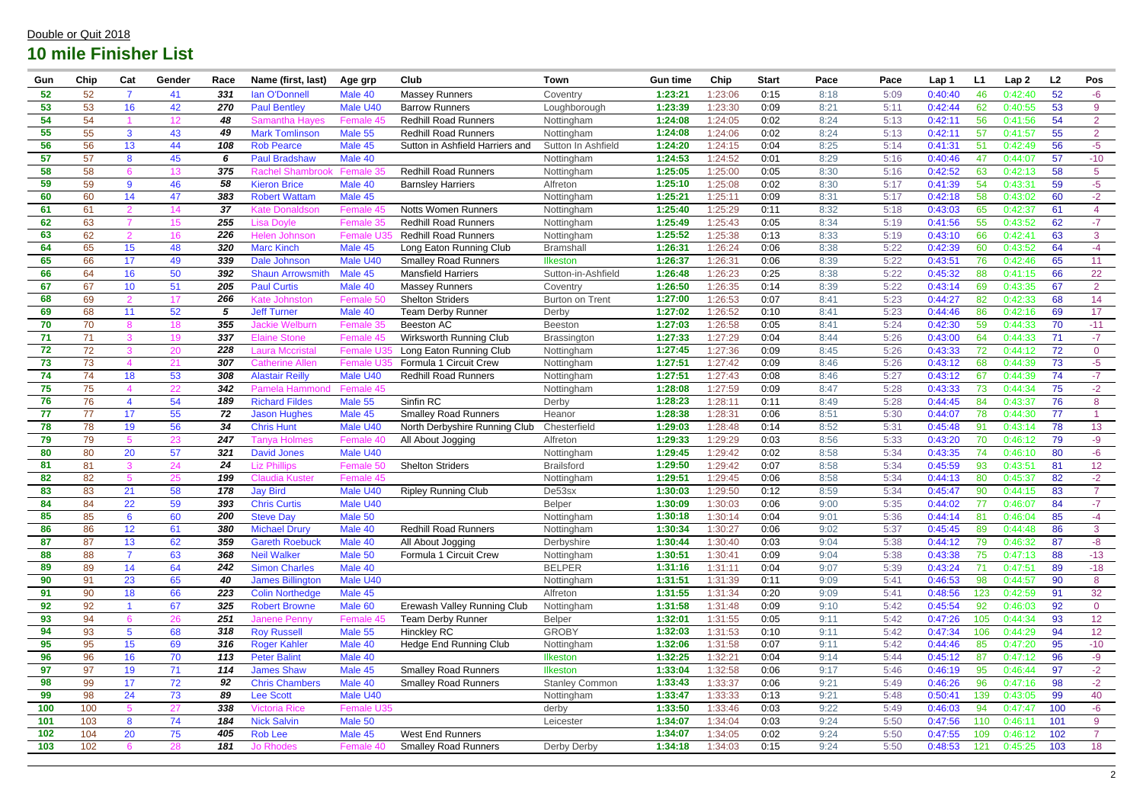| Gun | Chip | Cat                      | Gender          | Race | Name (first, last)      | Age grp           | Club                            | <b>Town</b>            | <b>Gun time</b> | Chip    | <b>Start</b> | Pace | Pace | Lap 1   | L1  | Lap <sub>2</sub> | L2  | Pos             |
|-----|------|--------------------------|-----------------|------|-------------------------|-------------------|---------------------------------|------------------------|-----------------|---------|--------------|------|------|---------|-----|------------------|-----|-----------------|
| 52  | 52   |                          | 41              | 331  | <b>lan O'Donnell</b>    | Male 40           | <b>Massey Runners</b>           | Coventry               | 1:23:21         | 1:23:06 | 0:15         | 8:18 | 5:09 | 0:40:40 | 46  | 0:42:40          | 52  | $-6$            |
| 53  | 53   | 16                       | 42              | 270  | <b>Paul Bentley</b>     | Male U40          | <b>Barrow Runners</b>           | Loughborough           | 1:23:39         | 1:23:30 | 0:09         | 8:21 | 5:11 | 0:42:44 | 62  | 0:40:55          | 53  | 9               |
| 54  | 54   |                          | 12 <sub>2</sub> | 48   | <b>Samantha Hayes</b>   | Female 45         | <b>Redhill Road Runners</b>     | Nottingham             | 1:24:08         | 1:24:05 | 0:02         | 8:24 | 5:13 | 0:42:11 | 56  | 0:41:56          | 54  | $\overline{2}$  |
| 55  | 55   | $\mathbf{3}$             | 43              | 49   | <b>Mark Tomlinson</b>   | Male 55           | <b>Redhill Road Runners</b>     | Nottingham             | 1:24:08         | 1:24:06 | 0:02         | 8:24 | 5:13 | 0:42:11 | 57  | 0:41:57          | 55  | $\overline{2}$  |
| 56  | 56   | 13                       | 44              | 108  | <b>Rob Pearce</b>       | Male 45           | Sutton in Ashfield Harriers and | Sutton In Ashfield     | 1:24:20         | 1:24:15 | 0:04         | 8:25 | 5:14 | 0:41:31 | 51  | 0:42:49          | 56  | $-5$            |
| 57  | 57   | 8                        | 45              | 6    | <b>Paul Bradshaw</b>    | Male 40           |                                 | Nottingham             | 1:24:53         | 1:24:52 | 0:01         | 8:29 | 5:16 | 0:40:46 | 47  | 0:44:07          | 57  | $-10$           |
| 58  | 58   | 6                        | 13              | 375  | <b>Rachel Shambrook</b> | Female 35         | <b>Redhill Road Runners</b>     | Nottingham             | 1:25:05         | 1:25:00 | 0:05         | 8:30 | 5:16 | 0:42:52 | 63  | 0:42:13          | 58  | 5               |
| 59  | 59   | 9                        | 46              | 58   | <b>Kieron Brice</b>     | Male 40           | <b>Barnsley Harriers</b>        | Alfreton               | 1:25:10         | 1:25:08 | 0:02         | 8:30 | 5:17 | 0:41:39 | 54  | 0:43:31          | 59  | $-5$            |
| 60  | 60   | 14                       | 47              | 383  | <b>Robert Wattam</b>    | Male 45           |                                 | Nottingham             | 1:25:21         | 1:25:11 | 0:09         | 8:31 | 5:17 | 0:42:18 | 58  | 0:43:02          | 60  | $-2$            |
| 61  | 61   | $\mathcal{P}$            | 14              | 37   | <b>Kate Donaldson</b>   | Female 45         | <b>Notts Women Runners</b>      | Nottingham             | 1:25:40         | 1:25:29 | 0:11         | 8:32 | 5:18 | 0:43:03 | 65  | 0:42:37          | 61  | $\overline{4}$  |
| 62  | 63   |                          | 15 <sub>1</sub> | 255  | Lisa Dovle              | Female 35         | <b>Redhill Road Runners</b>     | Nottingham             | 1:25:49         | 1:25:43 | 0:05         | 8:34 | 5:19 | 0:41:56 | 55  | 0:43:52          | 62  | $-7$            |
| 63  | 62   | 2                        | 16              | 226  | Helen Johnson           | Female U3         | <b>Redhill Road Runners</b>     | Nottingham             | 1:25:52         | 1:25:38 | 0:13         | 8:33 | 5:19 | 0:43:10 | 66  | 0:42:41          | 63  | 3               |
| 64  | 65   | 15                       | 48              | 320  | <b>Marc Kinch</b>       | Male 45           | Long Eaton Running Club         | <b>Bramshall</b>       | 1:26:31         | 1:26:24 | 0:06         | 8:38 | 5:22 | 0:42:39 | 60  | 0:43:52          | 64  | $-4$            |
| 65  | 66   | 17                       | 49              | 339  | Dale Johnson            | Male U40          | <b>Smalley Road Runners</b>     | <b>Ilkeston</b>        | 1:26:37         | 1:26:31 | 0:06         | 8:39 | 5:22 | 0:43:51 | 76  | 0:42:46          | 65  | 11              |
| 66  | 64   | 16                       | 50              | 392  | <b>Shaun Arrowsmith</b> | Male 45           | <b>Mansfield Harriers</b>       | Sutton-in-Ashfield     | 1:26:48         | 1:26:23 | 0:25         | 8:38 | 5:22 | 0:45:32 | 88  | 0:41:15          | 66  | 22              |
| 67  | 67   | 10 <sup>°</sup>          | 51              | 205  | <b>Paul Curtis</b>      | Male 40           | <b>Massey Runners</b>           | Coventry               | 1:26:50         | 1:26:35 | 0:14         | 8:39 | 5:22 | 0:43:14 | 69  | 0:43:35          | 67  | $\overline{2}$  |
| 68  | 69   | $\overline{2}$           | 17              | 266  | Kate Johnston           | Female 50         | <b>Shelton Striders</b>         | <b>Burton on Trent</b> | 1:27:00         | 1:26:53 | 0:07         | 8:41 | 5:23 | 0:44:27 | 82  | 0:42:33          | 68  | 14              |
| 69  | 68   | 11                       | 52              |      | <b>Jeff Turner</b>      | Male 40           | <b>Team Derby Runner</b>        | Derby                  | 1:27:02         | 1:26:52 | 0:10         | 8:41 | 5:23 | 0:44:46 | 86  | 0:42:16          | 69  | 17              |
| 70  | 70   |                          | 18              | 355  | Jackie Welburn          | Female 35         | Beeston AC                      | Beeston                | 1:27:03         | 1:26:58 | 0:05         | 8:41 | 5:24 | 0:42:30 | 59  | 0:44:33          | 70  | $-11$           |
| 71  | 71   | 3                        | 19              | 337  | <b>Elaine Stone</b>     | Female 45         | Wirksworth Running Club         | <b>Brassington</b>     | 1:27:33         | 1:27:29 | 0:04         | 8:44 | 5:26 | 0:43:00 | 64  | 0:44:33          | 71  | $-7$            |
| 72  | 72   | 3                        | 20              | 228  | Laura Mccristal         | Female U:         | Long Eaton Running Club         | Nottingham             | 1:27:45         | 1:27:36 | 0:09         | 8:45 | 5:26 | 0:43:33 | 72  | 0:44:12          | 72  | $\overline{0}$  |
| 73  | 73   | $\boldsymbol{\Lambda}$   | 21              | 307  | Catherine Allen         | <b>Female U35</b> | Formula 1 Circuit Crew          | Nottingham             | 1:27:51         | 1:27:42 | 0:09         | 8:46 | 5:26 | 0:43:12 | 68  | 0:44:39          | 73  | $-5$            |
| 74  | 74   | 18                       | 53              | 308  | <b>Alastair Reilly</b>  | Male U40          | <b>Redhill Road Runners</b>     | Nottingham             | 1:27:51         | 1:27:43 | 0:08         | 8:46 | 5:27 | 0:43:12 | -67 | 0:44:39          | 74  | $-7$            |
| 75  | 75   |                          | 22              | 342  | Pamela Hammond          | Female 45         |                                 | Nottingham             | 1:28:08         | 1:27:59 | 0:09         | 8:47 | 5:28 | 0:43:33 | 73  | 0:44:34          | 75  | $-2$            |
| 76  | 76   | $\boldsymbol{\varDelta}$ | 54              | 189  | <b>Richard Fildes</b>   | Male 55           | Sinfin RC                       | Derby                  | 1:28:23         | 1:28:11 | 0:11         | 8:49 | 5:28 | 0:44:45 | 84  | 0:43:37          | 76  | 8               |
| 77  | 77   | 17                       | 55              | 72   | <b>Jason Hughes</b>     | Male 45           | <b>Smalley Road Runners</b>     | Heanor                 | 1:28:38         | 1:28:31 | 0:06         | 8:51 | 5:30 | 0:44:07 | 78  | 0:44:30          | 77  |                 |
| 78  | 78   | 19                       | 56              | 34   | <b>Chris Hunt</b>       | Male U40          | North Derbyshire Running Club   | Chesterfield           | 1:29:03         | 1:28:48 | 0:14         | 8:52 | 5:31 | 0:45:48 | 91  | 0:43:14          | 78  | 13              |
| 79  | 79   | 5                        | 23              | 247  | ⊺anva Holmes            | Female 40         | All About Jogging               | Alfreton               | 1:29:33         | 1:29:29 | 0:03         | 8:56 | 5:33 | 0:43:20 | 70  | 0:46:12          | 79  | $-9$            |
| 80  | 80   | 20                       | 57              | 321  | <b>David Jones</b>      | Male U40          |                                 | Nottingham             | 1:29:45         | 1:29:42 | 0:02         | 8:58 | 5:34 | 0:43:35 | 74  | 0:46:10          | 80  | $-6$            |
| 81  | 81   | 3                        | 24              | 24   | <b>Liz Phillips</b>     | Female 50         | <b>Shelton Striders</b>         | <b>Brailsford</b>      | 1:29:50         | 1:29:42 | 0:07         | 8:58 | 5:34 | 0:45:59 | 93  | 0:43:51          | 81  | 12 <sup>°</sup> |
| 82  | 82   |                          | 25              | 199  | Claudia Kuster          | Female 45         |                                 | Nottingham             | 1:29:51         | 1:29:45 | 0:06         | 8:58 | 5:34 | 0:44:13 | 80  | 0:45:37          | 82  | $-2$            |
| 83  | 83   | 21                       | 58              | 178  | <b>Jay Bird</b>         | Male U40          | <b>Ripley Running Club</b>      | De53sx                 | 1:30:03         | 1:29:50 | 0:12         | 8:59 | 5:34 | 0:45:47 | 90  | 0:44:15          | 83  | $\overline{7}$  |
| 84  | 84   | 22                       | 59              | 393  | <b>Chris Curtis</b>     | Male U40          |                                 | <b>Belper</b>          | 1:30:09         | 1:30:03 | 0:06         | 9:00 | 5:35 | 0:44:02 |     | 0:46:07          | 84  | -7              |
| 85  | 85   | $6\overline{6}$          | 60              | 200  | <b>Steve Day</b>        | Male 50           |                                 | Nottingham             | 1:30:18         | 1:30:14 | 0:04         | 9:01 | 5:36 | 0:44:14 | 81  | 0:46:04          | 85  | $-4$            |
| 86  | 86   | 12 <sub>2</sub>          | 61              | 380  | <b>Michael Drury</b>    | Male 40           | <b>Redhill Road Runners</b>     | Nottingham             | 1:30:34         | 1:30:27 | 0:06         | 9:02 | 5:37 | 0:45:45 | 89  | 0:44:48          | 86  | $\mathbf{3}$    |
| 87  | 87   | 13 <sup>°</sup>          | 62              | 359  | <b>Gareth Roebuck</b>   | Male 40           | All About Jogging               | Derbyshire             | 1:30:44         | 1:30:40 | 0:03         | 9:04 | 5:38 | 0:44:12 | 79  | 0:46:32          | 87  | $-8-$           |
| 88  | 88   | $\overline{7}$           | 63              | 368  | <b>Neil Walker</b>      | Male 50           | Formula 1 Circuit Crew          | Nottingham             | 1:30:51         | 1:30:41 | 0:09         | 9:04 | 5:38 | 0:43:38 | 75  | 0:47:13          | 88  | $-13$           |
| 89  | 89   | 14                       | 64              | 242  | <b>Simon Charles</b>    | Male 40           |                                 | <b>BELPER</b>          | 1:31:16         | 1:31:11 | 0:04         | 9:07 | 5:39 | 0:43:24 | 71  | 0:47:51          | 89  | $-18$           |
| 90  | 91   | 23                       | 65              | 40   | James Billington        | Male U40          |                                 | Nottingham             | 1:31:51         | 1:31:39 | 0:11         | 9:09 | 5:41 | 0:46:53 | 98  | 0:44:57          | 90  | 8               |
| 91  | 90   | 18                       | 66              | 223  | <b>Colin Northedge</b>  | Male 45           |                                 | Alfreton               | 1:31:55         | 1:31:34 | 0:20         | 9:09 | 5:41 | 0:48:56 | 123 | 0:42:59          | 91  | 32              |
| 92  | 92   |                          | 67              | 325  | <b>Robert Browne</b>    | Male 60           | Erewash Valley Running Club     | Nottingham             | 1:31:58         | 1:31:48 | 0:09         | 9:10 | 5:42 | 0:45:54 | 92  | 0:46:03          | 92  | $\overline{0}$  |
| 93  | 94   |                          | 26              | 251  | <b>Janene Penny</b>     | Female 45         | <b>Team Derby Runner</b>        | <b>Belper</b>          | 1:32:01         | 1:31:55 | 0:05         | 9:11 | 5:42 | 0:47:26 | 105 | 0:44:34          | 93  | 12 <sub>2</sub> |
| 94  | 93   | 5 <sup>5</sup>           | 68              | 318  | <b>Roy Russell</b>      | Male 55           | <b>Hinckley RC</b>              | <b>GROBY</b>           | 1:32:03         | 1:31:53 | 0:10         | 9:11 | 5:42 | 0:47:34 | 106 | 0:44:29          | 94  | 12 <sub>2</sub> |
| 95  | 95   | 15 <sub>15</sub>         | 69              | 316  | <b>Roger Kahler</b>     | Male 40           | Hedge End Running Club          | Nottingham             | 1:32:06         | 1:31:58 | 0:07         | 9:11 | 5:42 | 0:44:46 | 85  | 0:47:20          | 95  | $-10$           |
| 96  | 96   | 16                       | 70              | 113  | <b>Peter Balint</b>     | Male 40           |                                 | Ilkeston               | 1:32:25         | 1:32:21 | 0:04         | 9:14 | 5:44 | 0:45:12 | 87  | 0:47:12          | 96  | $-9$            |
| 97  | 97   | 19                       | 71              | 114  | <b>James Shaw</b>       | Male 45           | <b>Smalley Road Runners</b>     | Ilkeston               | 1:33:04         | 1:32:58 | 0:06         | 9:17 | 5:46 | 0:46:19 | 95  | 0:46:44          | 97  | $-2$            |
| 98  | 99   | 17                       | 72              | 92   | <b>Chris Chambers</b>   | Male 40           | <b>Smalley Road Runners</b>     | <b>Stanley Common</b>  | 1:33:43         | 1:33:37 | 0:06         | 9:21 | 5:49 | 0:46:26 | 96  | 0:47:16          | 98  | $-2$            |
| 99  | 98   | 24                       | 73              | 89   | <b>Lee Scott</b>        | Male U40          |                                 | Nottingham             | 1:33:47         | 1:33:33 | 0:13         | 9:21 | 5:48 | 0:50:41 | 139 | 0:43:05          | 99  | 40              |
| 100 | 100  | 5 <sup>5</sup>           | 27              | 338  | <b>Victoria Rice</b>    | Female U35        |                                 | derby                  | 1:33:50         | 1:33:46 | 0:03         | 9:22 | 5:49 | 0:46:03 | 94  | 0:47:47          | 100 | $-6$            |
| 101 | 103  | 8                        | 74              | 184  | <b>Nick Salvin</b>      | Male 50           |                                 | Leicester              | 1:34:07         | 1:34:04 | 0:03         | 9:24 | 5:50 | 0:47:56 | 110 | 0:46:11          | 101 | 9               |
| 102 | 104  | 20                       | 75              | 405  | <b>Rob Lee</b>          | Male 45           | <b>West End Runners</b>         |                        | 1:34:07         | 1:34:05 | 0:02         | 9:24 | 5:50 | 0:47:55 | 109 | 0:46:12          | 102 | $\overline{7}$  |
| 103 | 102  | 6                        | 28              | 181  | <b>Jo Rhodes</b>        | Female 40         | <b>Smalley Road Runners</b>     | Derby Derby            | 1:34:18         | 1:34:03 | 0:15         | 9:24 | 5:50 | 0:48:53 | 121 | 0:45:25          | 103 | 18              |
|     |      |                          |                 |      |                         |                   |                                 |                        |                 |         |              |      |      |         |     |                  |     |                 |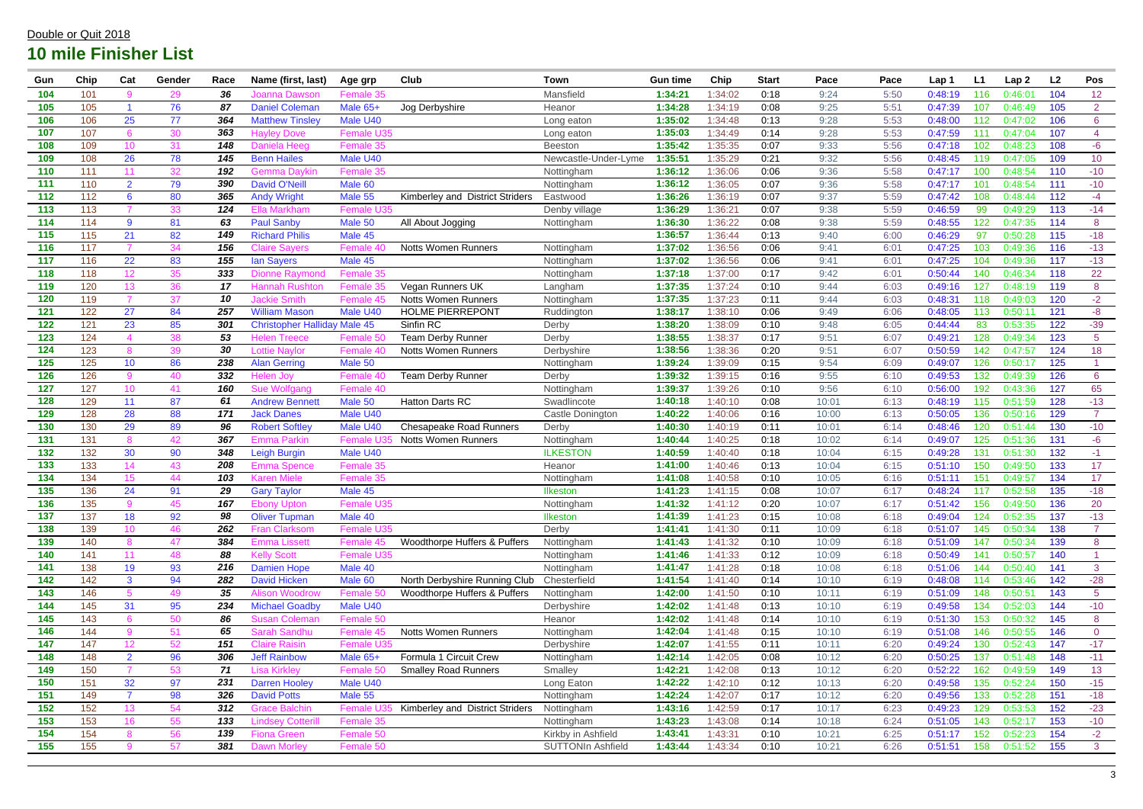| Gun              | Chip | Cat             | Gender | Race | Name (first, last)          | Age grp            | Club                            | Town                     | <b>Gun time</b> | Chip    | <b>Start</b> | Pace  | Pace | Lap 1   | L1  | Lap <sub>2</sub> | L2  | Pos             |
|------------------|------|-----------------|--------|------|-----------------------------|--------------------|---------------------------------|--------------------------|-----------------|---------|--------------|-------|------|---------|-----|------------------|-----|-----------------|
| 104              | 101  | 9               | 29     | 36   | Joanna Dawsor               | Female 35          |                                 | Mansfield                | 1:34:21         | 1:34:02 | 0:18         | 9:24  | 5:50 | 0:48:19 | 116 | 0:46:01          | 104 | 12              |
| 105              | 105  |                 | 76     | 87   | <b>Daniel Colemar</b>       | Male 65+           | Jog Derbyshire                  | Heanor                   | 1:34:28         | 1:34:19 | 0:08         | 9:25  | 5:51 | 0:47:39 | 107 | 0:46:49          | 105 | 2 <sup>1</sup>  |
| 106              | 106  | 25              | 77     | 364  | <b>Matthew Tinsley</b>      | Male U40           |                                 | Long eaton               | 1:35:02         | 1:34:48 | 0:13         | 9:28  | 5:53 | 0:48:00 | 112 | 0:47:02          | 106 | $6\phantom{1}6$ |
| 107              | 107  | 6               | 30     | 363  | Havlev Dove                 | <b>Female U35</b>  |                                 | Long eaton               | 1:35:03         | 1:34:49 | 0:14         | 9:28  | 5:53 | 0:47:59 | 111 | 0:47:04          | 107 | 4               |
| 108              | 109  | 10 <sup>°</sup> | 31     | 148  | <b>Daniela Heeg</b>         | Female 35          |                                 | <b>Beeston</b>           | 1:35:42         | 1:35:35 | 0:07         | 9:33  | 5:56 | 0:47:18 | 102 | 0:48:23          | 108 | $-6$            |
| 109              | 108  | 26              | 78     | 145  | <b>Benn Hailes</b>          | Male U40           |                                 | Newcastle-Under-Lyme     | 1:35:51         | 1:35:29 | 0:21         | 9:32  | 5:56 | 0:48:45 | 119 | 0:47:05          | 109 | 10              |
| 110              | 111  | 11              | 32     | 192  | <b>Gemma Davkin</b>         | Female 35          |                                 | Nottingham               | 1:36:12         | 1:36:06 | 0:06         | 9:36  | 5:58 | 0:47:17 | 100 | 0:48:54          | 110 | $-10$           |
| 111              | 110  | $\overline{2}$  | 79     | 390  | <b>David O'Neill</b>        | Male <sub>60</sub> |                                 | Nottingham               | 1:36:12         | 1:36:05 | 0:07         | 9:36  | 5:58 | 0:47:17 | 101 | 0:48:54          | 111 | $-10$           |
| 112              | 112  | 6               | 80     | 365  | <b>Andy Wright</b>          | Male 55            | Kimberley and District Striders | Eastwood                 | 1:36:26         | 1:36:19 | 0:07         | 9:37  | 5:59 | 0:47:42 | 108 | 0:48:44          | 112 | $-4$            |
| 113              | 113  |                 | 33     | 124  | Ella Markham                | <b>Female U35</b>  |                                 | Denby village            | 1:36:29         | 1:36:21 | 0:07         | 9:38  | 5:59 | 0:46:59 | 99  | 0:49:29          | 113 | $-14$           |
| 114              | 114  | 9               | 81     | 63   | <b>Paul Sanby</b>           | Male 50            | All About Jogging               | Nottingham               | 1:36:30         | 1:36:22 | 0:08         | 9:38  | 5:59 | 0:48:55 | 122 | 0:47:35          | 114 | 8               |
| 115              | 115  | 21              | 82     | 149  | <b>Richard Philis</b>       | Male 45            |                                 |                          | 1:36:57         | 1:36:44 | 0:13         | 9:40  | 6:00 | 0:46:29 | 97  | 0:50:28          | 115 | $-18$           |
| 116              | 117  | $\overline{7}$  | 34     | 156  | Claire Savers               | Female 40          | <b>Notts Women Runners</b>      | Nottingham               | 1:37:02         | 1:36:56 | 0:06         | 9:41  | 6:01 | 0:47:25 | 103 | 0:49:36          | 116 | $-13$           |
| 117              | 116  | 22              | 83     | 155  | <b>lan Sayers</b>           | Male 45            |                                 | Nottingham               | 1:37:02         | 1:36:56 | 0:06         | 9:41  | 6:01 | 0:47:25 | 104 | 0:49:36          | 117 | $-13$           |
| 118              | 118  | 12 <sub>2</sub> | 35     | 333  | Dionne Ravmond              | Female 35          |                                 | Nottingham               | 1:37:18         | 1:37:00 | 0:17         | 9:42  | 6:01 | 0:50:44 | 140 | 0:46:34          | 118 | 22              |
| 119              | 120  | 13 <sup>°</sup> | 36     | 17   | <b>Hannah Rushton</b>       | Female 35          | Vegan Runners UK                | Langham                  | 1:37:35         | 1:37:24 | 0:10         | 9:44  | 6:03 | 0:49:16 | 127 | 0:48:19          | 119 | 8               |
| 120              | 119  |                 | 37     | 10   | <b>Jackie Smith</b>         | Female 45          | <b>Notts Women Runners</b>      | Nottingham               | 1:37:35         | 1:37:23 | 0:11         | 9:44  | 6:03 | 0:48:31 | 118 | 0:49:03          | 120 | $-2$            |
| 121              | 122  | 27              | 84     | 257  | <b>William Mason</b>        | Male U40           | <b>HOLME PIERREPONT</b>         | Ruddington               | 1:38:17         | 1:38:10 | 0:06         | 9:49  | 6:06 | 0:48:05 | 113 | 0:50:1           | 121 | $-8$            |
| 122              | 121  | 23              | 85     | 301  | <b>Christopher Halliday</b> | Male 45            | Sinfin RC                       | Derby                    | 1:38:20         | 1:38:09 | 0:10         | 9:48  | 6:05 | 0:44:44 | 83  | 0:53:35          | 122 | $-39$           |
| 123              | 124  |                 | 38     | 53   | <b>Helen Treece</b>         | Female 50          | <b>Team Derby Runner</b>        | Derby                    | 1:38:55         | 1:38:37 | 0:17         | 9:51  | 6:07 | 0:49:21 | 128 | 0:49:34          | 123 | 5 <sup>5</sup>  |
| 124              | 123  | 8               | 39     | 30   | <b>Lottie Navlor</b>        | Female 40          | <b>Notts Women Runners</b>      | Derbyshire               | 1:38:56         | 1:38:36 | 0:20         | 9:51  | 6:07 | 0:50:59 | 142 | 0:47:57          | 124 | 18              |
| 125              | 125  | 10 <sup>°</sup> | 86     | 238  | <b>Alan Gerring</b>         | Male 50            |                                 | Nottingham               | 1:39:24         | 1:39:09 | 0:15         | 9:54  | 6:09 | 0:49:07 | 126 | 0:50:17          | 125 |                 |
| 126              | 126  | 9               | 40     | 332  | Helen Jov                   | Female 40          | <b>Team Derby Runner</b>        | Derby                    | 1:39:32         | 1:39:15 | 0:16         | 9:55  | 6:10 | 0:49:53 | 132 | 0:49:39          | 126 | $6\phantom{1}6$ |
| 127              | 127  | 10 <sup>°</sup> | 41     | 160  | Sue Wolfgang                | Female 40          |                                 | Nottingham               | 1:39:37         | 1:39:26 | 0:10         | 9:56  | 6:10 | 0:56:00 | 192 | 0:43:36          | 127 | 65              |
| 128              | 129  | 11              | 87     | 61   | <b>Andrew Bennet</b>        | Male 50            | <b>Hatton Darts RC</b>          | Swadlincote              | 1:40:18         | 1:40:10 | 0:08         | 10:01 | 6:13 | 0:48:19 | 115 | 0:51:59          | 128 | $-13$           |
| 129              | 128  | 28              | 88     | 171  | <b>Jack Danes</b>           | Male U40           |                                 | Castle Donington         | 1:40:22         | 1:40:06 | 0:16         | 10:00 | 6:13 | 0:50:05 | 136 | 0:50:16          | 129 | $\overline{7}$  |
| 130              | 130  | 29              | 89     | 96   | <b>Robert Softley</b>       | Male U40           | <b>Chesapeake Road Runners</b>  | Derby                    | 1:40:30         | 1:40:19 | 0:11         | 10:01 | 6:14 | 0:48:46 | 120 | 0:51:44          | 130 | $-10$           |
| 131              | 131  | 8               | 42     | 367  | Emma Parkin                 | Female             | <b>Notts Women Runners</b>      | Nottingham               | 1:40:44         | 1:40:25 | 0:18         | 10:02 | 6:14 | 0:49:07 | 125 | 0:51:36          | 131 | $-6$            |
| 132              | 132  | 30              | 90     | 348  | Leigh Burgin                | Male U40           |                                 | <b>ILKESTON</b>          | 1:40:59         | 1:40:40 | 0:18         | 10:04 | 6:15 | 0:49:28 | 131 | 0:51:30          | 132 | $-1$            |
| 133              | 133  | 14              | 43     | 208  | <b>Emma Spence</b>          | Female 35          |                                 | Heanor                   | 1:41:00         | 1:40:46 | 0:13         | 10:04 | 6:15 | 0:51:10 | 150 | 0:49:50          | 133 | 17 <sub>1</sub> |
| 134              | 134  | 15 <sub>1</sub> | 44     | 103  | Karen Miele                 | Female 35          |                                 | Nottingham               | 1:41:08         | 1:40:58 | 0:10         | 10:05 | 6:16 | 0:51:11 | 151 | 0:49:5           | 134 | 17              |
| 135              | 136  | 24              | 91     | 29   | <b>Gary Taylor</b>          | Male 45            |                                 | <b>Ilkeston</b>          | 1:41:23         | 1:41:15 | 0:08         | 10:07 | 6:17 | 0:48:24 | 117 | 0:52:58          | 135 | $-18$           |
| 136              | 135  |                 | 45     | 167  | Ebony Upton                 | Female U35         |                                 | Nottingham               | 1:41:32         | 1:41:12 | 0:20         | 10:07 | 6:17 | 0:51:42 | 156 | 0:49:50          | 136 | 20              |
| 137              | 137  | 18              | 92     | 98   | <b>Oliver Tupman</b>        | Male 40            |                                 | <b>Ilkeston</b>          | 1:41:39         | 1:41:23 | 0:15         | 10:08 | 6:18 | 0:49:04 | 124 | 0:52:35          | 137 | $-13$           |
| $\overline{138}$ | 139  | 10 <sup>°</sup> | 46     | 262  | <b>Fran Clarksom</b>        | Female U35         |                                 | Derby                    | 1:41:41         | 1:41:30 | 0:11         | 10:09 | 6:18 | 0:51:07 | 145 | 0:50:34          | 138 | $\overline{7}$  |
| 139              | 140  | 8               | 47     | 384  | <b>Emma Lissett</b>         | Female 45          | Woodthorpe Huffers & Puffers    | Nottingham               | 1:41:43         | 1:41:32 | 0:10         | 10:09 | 6:18 | 0:51:09 | 147 | 0:50:34          | 139 | 8               |
| 140              | 141  | 11              | 48     | 88   | <b>Kelly Scott</b>          | Female U35         |                                 | Nottingham               | 1:41:46         | 1:41:33 | 0:12         | 10:09 | 6:18 | 0:50:49 | 141 | 0:50:57          | 140 |                 |
| 141              | 138  | 19              | 93     | 216  | <b>Damien Hope</b>          | Male 40            |                                 | Nottingham               | 1:41:47         | 1:41:28 | 0:18         | 10:08 | 6:18 | 0:51:06 | 144 | 0:50:40          | 141 | 3               |
| 142              | 142  | $\mathbf{3}$    | 94     | 282  | <b>David Hicken</b>         | Male 60            | North Derbyshire Running Club   | Chesterfield             | 1:41:54         | 1:41:40 | 0:14         | 10:10 | 6:19 | 0:48:08 | 114 | 0:53:46          | 142 | $-28$           |
| 143              | 146  | 5               | 49     | 35   | <b>Alison Woodrow</b>       | Female 50          | Woodthorpe Huffers & Puffers    | Nottingham               | 1:42:00         | 1:41:50 | 0:10         | 10:11 | 6:19 | 0:51:09 | 148 | 0:50:51          | 143 | 5 <sup>5</sup>  |
| 144              | 145  | 31              | 95     | 234  | <b>Michael Goadby</b>       | Male U40           |                                 | Derbyshire               | 1:42:02         | 1:41:48 | 0:13         | 10:10 | 6:19 | 0:49:58 | 134 | 0:52:03          | 144 | $-10$           |
| 145              | 143  | 6               | 50     | 86   | <b>Susan Colemar</b>        | Female 50          |                                 | Heanor                   | 1:42:02         | 1:41:48 | 0:14         | 10:10 | 6:19 | 0:51:30 | 153 | 0:50:32          | 145 | 8               |
| 146              | 144  | 9               | 51     | 65   | <b>Sarah Sandhu</b>         | Female 45          | <b>Notts Women Runners</b>      | Nottingham               | 1:42:04         | 1:41:48 | 0:15         | 10:10 | 6:19 | 0:51:08 | 146 | 0:50:55          | 146 | $\overline{0}$  |
| 147              | 147  | 12 <sub>2</sub> | 52     | 151  | <b>Claire Raisin</b>        | Female U35         |                                 | Derbyshire               | 1:42:07         | 1:41:55 | 0:11         | 10:11 | 6:20 | 0:49:24 | 130 | 0:52:43          | 147 | $-17$           |
| 148              | 148  | 2 <sup>1</sup>  | 96     | 306  | <b>Jeff Rainbow</b>         | Male 65+           | Formula 1 Circuit Crew          | Nottingham               | 1:42:14         | 1:42:05 | 0:08         | 10:12 | 6:20 | 0:50:25 | 137 | 0:51:48          | 148 | $-11$           |
| 149              | 150  |                 | 53     | 71   | Lisa Kirkley                | Female 50          | <b>Smalley Road Runners</b>     | Smalley                  | 1:42:21         | 1:42:08 | 0:13         | 10:12 | 6:20 | 0:52:22 | 162 | 0:49:59          | 149 | 13              |
| 150              | 151  | 32              | 97     | 231  | <b>Darren Hooley</b>        | Male U40           |                                 | Long Eaton               | 1:42:22         | 1:42:10 | 0:12         | 10:13 | 6:20 | 0:49:58 | 135 | 0:52:24          | 150 | $-15$           |
| 151              | 149  | $\overline{7}$  | 98     | 326  | <b>David Potts</b>          | Male 55            |                                 | Nottingham               | 1:42:24         | 1:42:07 | 0:17         | 10:12 | 6:20 | 0:49:56 | 133 | 0:52:28          | 151 | $-18$           |
| 152              | 152  | 13 <sup>°</sup> | 54     | 312  | <b>Grace Balchin</b>        | Female U3          | Kimberley and District Striders | Nottingham               | 1:43:16         | 1:42:59 | 0:17         | 10:17 | 6:23 | 0:49:23 | 129 | 0:53:53          | 152 | $-23$           |
| 153              | 153  | 16 <sup>°</sup> | 55     | 133  | <b>Lindsey Cotterill</b>    | Female 35          |                                 | Nottingham               | 1:43:23         | 1:43:08 | 0:14         | 10:18 | 6:24 | 0:51:05 | 143 | 0:52:17          | 153 | $-10$           |
| 154              | 154  | 8               | 56     | 139  | <b>Fiona Green</b>          | Female 50          |                                 | Kirkby in Ashfield       | 1:43:41         | 1:43:31 | 0:10         | 10:21 | 6:25 | 0:51:17 | 152 | 0:52:23          | 154 | $-2$            |
| 155              | 155  | -9              | 57     | 381  | <b>Dawn Morley</b>          | Female 50          |                                 | <b>SUTTONIn Ashfield</b> | 1:43:44         | 1:43:34 | 0:10         | 10:21 | 6:26 | 0:51:51 | 158 | 0:51:52          | 155 | 3 <sup>7</sup>  |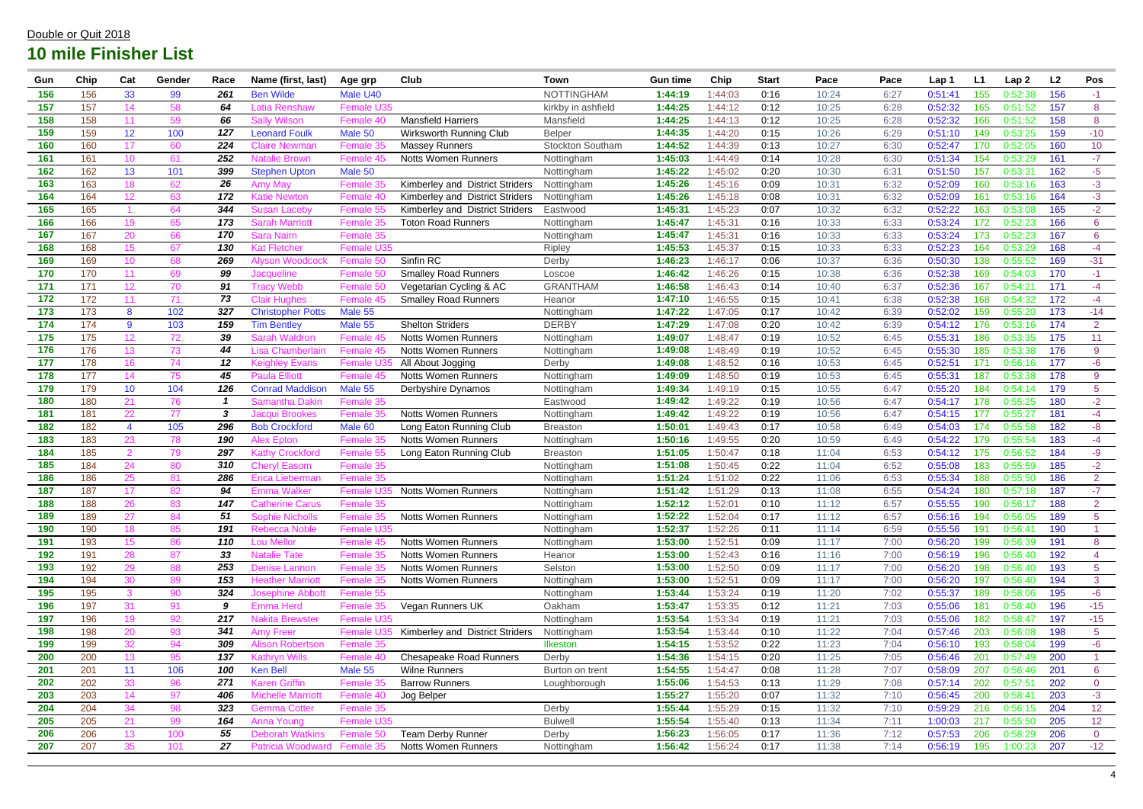| Gun        | Chip | Cat             | Gender   | Race             | Name (first, last)                        | Age grp                | Club                            | Town                     | <b>Gun time</b> | Chip    | <b>Start</b> | Pace  | Pace         | Lap 1              | L1  | Lap <sub>2</sub>   | L2  | Pos                        |
|------------|------|-----------------|----------|------------------|-------------------------------------------|------------------------|---------------------------------|--------------------------|-----------------|---------|--------------|-------|--------------|--------------------|-----|--------------------|-----|----------------------------|
| 156        | 156  | 33              | 99       | 261              | <b>Ben Wilde</b>                          | Male U40               |                                 | <b>NOTTINGHAM</b>        | 1:44:19         | 1:44:03 | 0:16         | 10:24 | 6:27         | 0:51:4'            | 155 | 0:52:38            | 156 | $-1$                       |
| 157        | 157  | 14              | 58       | 64               | Latia Renshaw                             | <b>Female U35</b>      |                                 | kirkby in ashfield       | 1:44:25         | 1:44:12 | 0:12         | 10:25 | 6:28         | 0:52:32            | 165 | 0:51:52            | 157 | 8                          |
| 158        | 158  | 11              | 59       | 66               | <b>Sally Wilson</b>                       | Female 40              | <b>Mansfield Harriers</b>       | Mansfield                | 1:44:25         | 1:44:13 | 0:12         | 10:25 | 6:28         | 0:52:32            | 166 | 0:51:52            | 158 | 8                          |
| 159        | 159  | 12 <sub>2</sub> | 100      | 127              | <b>Leonard Foulk</b>                      | Male 50                | Wirksworth Running Club         | <b>Belper</b>            | 1:44:35         | 1:44:20 | 0:15         | 10:26 | 6:29         | 0:51:10            | 149 | 0:53:25            | 159 | $-10$                      |
| 160        | 160  | 17              | 60       | 224              | Claire Newman                             | Female 35              | <b>Massey Runners</b>           | <b>Stockton Southam</b>  | 1:44:52         | 1:44:39 | 0:13         | 10:27 | 6:30         | 0:52:47            | 170 | 0:52:05            | 160 | 10                         |
| 161        | 161  | 10 <sup>°</sup> | 61       | 252              | <b>Vatalie Brown</b>                      | Female 45              | <b>Notts Women Runners</b>      | Nottingham               | 1:45:03         | 1:44:49 | 0:14         | 10:28 | 6:30         | 0:51:34            | 154 | 0:53:29            | 161 | $-7$                       |
| 162        | 162  | 13              | 101      | 399              | <b>Stephen Upton</b>                      | Male 50                |                                 | Nottingham               | 1:45:22         | 1:45:02 | 0:20         | 10:30 | 6:31         | 0:51:50            | 157 | 0:53:31            | 162 | $-5$                       |
| 163        | 163  | 18              | 62       | 26               | \mv Ma <sup>,</sup>                       | Female 35              | Kimberley and District Striders | Nottingham               | 1:45:26         | 1:45:16 | 0:09         | 10:31 | 6:32         | 0:52:09            | 160 | 0:53:16            | 163 | $-3$                       |
| 164        | 164  | 12              | 63       | 172              | Katie Newton                              | Female 40              | Kimberley and District Striders | Nottingham               | 1:45:26         | 1:45:18 | 0:08         | 10:31 | 6:32         | 0:52:09            | 161 | 0:53:16            | 164 | $-3$                       |
| 165        | 165  |                 | 64       | 344              | Susan I<br>∟aceb∖                         | Female 55              | Kimberley and District Striders | Eastwood                 | 1:45:31         | 1:45:23 | 0:07         | 10:32 | 6:32         | 0:52:22            | 163 | 0:53:08            | 165 | $-2$                       |
| 166        | 166  | 19              | 65       | 173              | Sarah Marriott                            | Female 35              | <b>Toton Road Runners</b>       | Nottingham               | 1:45:47         | 1:45:31 | 0:16         | 10:33 | 6:33         | 0:53:24            | 172 | 0:52:23            | 166 | $6^{\circ}$                |
| 167        | 167  | 20              | 66       | 170              | Sara Nairn                                | Female 35              |                                 | Nottingham               | 1:45:47         | 1:45:31 | 0:16         | 10:33 | 6:33         | 0:53:24            | 173 | 0:52:23            | 167 | $6\overline{6}$            |
| 168        | 168  | 15 <sub>1</sub> | 67       | 130              | Kat Fletcheı                              | <b>Female U35</b>      |                                 | Ripley                   | 1:45:53         | 1:45:37 | 0:15         | 10:33 | 6:33         | 0:52:23            | 164 | 0:53:29            | 168 | $-4$                       |
| 169        | 169  | 10 <sup>°</sup> | 68       | 269              | <b>Alyson Woodcock</b>                    | Female 50              | Sinfin RC                       | Derby                    | 1:46:23         | 1:46:17 | 0:06         | 10:37 | 6:36         | 0:50:30            | 138 | 0:55:52            | 169 | $-31$                      |
| 170        | 170  | 11              | 69       | 99               | Jacqueline                                | Female 50              | <b>Smalley Road Runners</b>     | Loscoe                   | 1:46:42         | 1:46:26 | 0:15         | 10:38 | 6:36         | 0:52:38            | 169 | 0:54:03            | 170 | $-1$                       |
| 171        | 171  | 12 <sub>2</sub> | 70       | 91               | <b>Tracy Webb</b>                         | Female 50              | Vegetarian Cycling & AC         | <b>GRANTHAM</b>          | 1:46:58         | 1:46:43 | 0:14         | 10:40 | 6:37         | 0:52:36            | 167 | 0:54:21            | 171 | $-4$                       |
| 172        | 172  | 11              | 71       | 73               | <b>Clair Hughes</b>                       | Female 45              | <b>Smalley Road Runners</b>     | Heanor                   | 1:47:10         | 1:46:55 | 0:15         | 10:41 | 6:38         | 0:52:38            | 168 | 0:54:32            | 172 | $-4$                       |
| 173        | 173  | 8               | 102      | 327              | <b>Christopher Potts</b>                  | Male 55                |                                 | Nottingham               | 1:47:22         | 1:47:05 | 0:17         | 10:42 | 6:39         | 0:52:02            | 159 | 0:55:20            | 173 | $-14$                      |
| 174        | 174  | 9               | 103      | 159              | <b>Tim Bentley</b>                        | Male 55                | <b>Shelton Striders</b>         | <b>DERBY</b>             | 1:47:29         | 1:47:08 | 0:20         | 10:42 | 6:39         | 0:54:12            | 176 | 0:53:16            | 174 | 2 <sup>1</sup>             |
| 175        | 175  | 12 <sub>2</sub> | 72       | 39               | Sarah Waldron                             | Female                 | <b>Notts Women Runners</b>      | Nottingham               | 1:49:07         | 1:48:47 | 0:19         | 10:52 | 6:45         | 0:55:3'            | 186 | 0:53:35            | 175 | 11                         |
| 176        | 176  | 13 <sup>°</sup> | 73       | 44               | Lisa Chamberlair                          | Female 45              | <b>Notts Women Runners</b>      | Nottingham               | 1:49:08         | 1:48:49 | 0:19         | 10:52 | 6:45         | 0:55:30            | 185 | 0:53:38            | 176 | 9                          |
| 177        | 178  | 16              | 74       | 12               | Keighley Evans                            | <b>Female U3</b>       | All About Jogging               | Derby                    | 1:49:08         | 1:48:52 | 0:16         | 10:53 | 6:45         | 0:52:51            | 171 | 0:56:16            | 177 | $-6$                       |
| 178        | 177  | 14              | 75       | 45               | <b>Paula Elliott</b>                      | Female 45              | <b>Notts Women Runners</b>      | Nottingham               | 1:49:09         | 1:48:50 | 0:19         | 10:53 | 6:45         | 0:55:31            | 187 | 0:53:38            | 178 | 9                          |
| 179        | 179  | 10 <sub>1</sub> | 104      | 126              | <b>Conrad Maddison</b>                    | Male 55                | Derbyshire Dynamos              | Nottingham               | 1:49:34         | 1:49:19 | 0:15         | 10:55 | 6:47         | 0:55:20            | 184 | 0:54:14            | 179 | $\overline{5}$             |
| 180        | 180  | 21              | 76       |                  | Samantha Dakir                            | Female 35              |                                 | Eastwood                 | 1:49:42         | 1:49:22 | 0:19         | 10:56 | 6:47         | 0:54:17            | 178 | 0:55:25            | 180 | $-2$                       |
| 181        | 181  | 22              | 77       | 3                | Jacqui Brookes                            | Female 35              | Notts Women Runners             | Nottingham               | 1:49:42         | 1:49:22 | 0:19         | 10:56 | 6:47         | 0:54:15            | 177 | 0:55:27            | 181 | $-4$                       |
| 182        | 182  | $\overline{4}$  | 105      | 296              | <b>Bob Crockford</b>                      | Male 60                | Long Eaton Running Club         | <b>Breaston</b>          | 1:50:01         | 1:49:43 | 0:17         | 10:58 | 6:49         | 0:54:03            | 174 | 0:55:58            | 182 | $-8-$                      |
| 183        | 183  | 23              | 78       | 190              | Alex Epton                                | Female 35              | <b>Notts Women Runners</b>      | Nottingham               | 1:50:16         | 1:49:55 | 0:20         | 10:59 | 6:49         | 0:54:22            | 179 | 0:55:54            | 183 | $-4$                       |
| 184        | 185  | 2               | 79       | 297              | Kathv Crockforc                           | Female 55              | Long Eaton Running Club         | <b>Breaston</b>          | 1:51:05         | 1:50:47 | 0:18         | 11:04 | 6:53         | 0:54:12            | 175 | 0:56:52            | 184 | $-9$                       |
| 185        | 184  | 24              | 80       | 310              | <b>Cheryl Easom</b>                       | Female 35              |                                 | Nottingham               | 1:51:08         | 1:50:45 | 0:22         | 11:04 | 6:52         | 0:55:08            | 183 | 0:55:59            | 185 | $-2$                       |
| 186        | 186  | 25              | 81       | 286              | Erica Liebermar                           | Female 35              |                                 | Nottingham               | 1:51:24         | 1:51:02 | 0:22         | 11:06 | 6:53         | 0:55:34            | 188 | 0:55:50            | 186 | $\overline{2}$             |
| 187        | 187  | 17              | 82       | 94               | Emma Walker                               | <b>Female U3</b>       | <b>Notts Women Runners</b>      | Nottingham               | 1:51:42         | 1:51:29 | 0:13         | 11:08 | 6:55         | 0:54:24            | 180 | 0:57:18            | 187 | $-7$                       |
| 188        | 188  |                 |          | $\overline{147}$ |                                           | <b>Female 35</b>       |                                 | Nottingham               | 1:52:12         | 1:52:01 | 0:10         | 11:12 | 6:57         | 0:55:55            | 190 | 0:56:17            | 188 |                            |
| 189        | 189  | 26<br>27        | 83<br>84 | 51               | Jatherine Carus<br><b>Sophie Nicholls</b> | Female 35              | <b>Notts Women Runners</b>      | Nottingham               | 1:52:22         | 1:52:04 | 0:17         | 11:12 | 6:57         | 0:56:16            | 194 | 0:56:05            | 189 | $\angle$<br>5 <sup>5</sup> |
| 190        | 190  | 18              | 85       | 191              | <b>Rebecca Noble</b>                      | Female U35             |                                 | Nottingham               | 1:52:37         | 1:52:26 | 0:11         | 11:14 | 6:59         | 0:55:56            | 191 | 0:56:41            | 190 |                            |
| 191        | 193  | 15 <sub>1</sub> | 86       | 110              | <b>Lou Mellor</b>                         | Female 45              | <b>Notts Women Runners</b>      | Nottingham               | 1:53:00         | 1:52:51 | 0:09         | 11:17 | 7:00         | 0:56:20            | 199 | 0:56:39            | 191 | 8                          |
| 192        | 191  | 28              | 87       | 33               | <b>Natalie Tate</b>                       | Female 35              | <b>Notts Women Runners</b>      | Heanor                   | 1:53:00         | 1:52:43 | 0:16         | 11:16 | 7:00         | 0:56:19            | 196 | 0:56:40            | 192 | 4                          |
| 193        | 192  | 29              | 88       | 253              | <b>Denise Lannon</b>                      | Female 35              | <b>Notts Women Runners</b>      | Selston                  | 1:53:00         | 1:52:50 | 0:09         | 11:17 | 7:00         | 0:56:20            | 198 | 0:56:40            | 193 | 5 <sup>5</sup>             |
| 194        | 194  | 30              | 89       | 153              | <b>Heather Marriott</b>                   | Female 35              | <b>Notts Women Runners</b>      | Nottingham               | 1:53:00         | 1:52:51 | 0:09         | 11:17 | 7:00         | 0:56:20            | 197 | 0:56:40            | 194 | $\mathbf{3}$               |
| 195        | 195  | 3               | 90       | 324              | <b>Josephine Abbott</b>                   | Female 55              |                                 | Nottingham               | 1:53:44         | 1:53:24 | 0:19         | 11:20 | 7:02         | 0:55:37            | 189 | 0:58:06            | 195 | $-6$                       |
| 196        | 197  | 31              | 91       | 9                | Emma Herd                                 | Female 35              | Vegan Runners UK                | Oakham                   | 1:53:47         | 1:53:35 | 0:12         | 11:21 | 7:03         | 0:55:06            | 181 | 0:58:40            | 196 | $-15$                      |
| 197        | 196  | 19              | 92       | 217              | <b>Nakita Brewster</b>                    | Female U35             |                                 | Nottingham               | 1:53:54         | 1:53:34 | 0:19         | 11:21 | 7:03         | 0:55:06            | 182 | 0:58:47            | 197 | $-15$                      |
| 198        | 198  | 20              | 93       | 341              | <b>Amy Freer</b>                          | Female I               | Kimberley and District Striders | Nottingham               | 1:53:54         | 1:53:44 | 0:10         | 11:22 | 7:04         | 0:57:46            | 203 | 0:56:08            | 198 | 5 <sup>5</sup>             |
| 199        | 199  | 32              | 94       | 309              | <b>Alison Robertson</b>                   | Female 35              |                                 | <b>Ilkeston</b>          | 1:54:15         | 1:53:52 | 0:22         | 11:23 | 7:04         | 0:56:10            | 193 | 0:58:04            | 199 | $-6$                       |
| 200        | 200  | 13 <sup>°</sup> | 95       | 137              | <b>Kathryn Wills</b>                      | Female 40              | <b>Chesapeake Road Runners</b>  |                          | 1:54:36         | 1:54:15 | 0:20         | 11:25 |              |                    | 201 |                    | 200 |                            |
| 201        | 201  | 11              | 106      | 100              | <b>Ken Bell</b>                           | Male 55                | <b>Wilne Runners</b>            | Derby<br>Burton on trent | 1:54:55         | 1:54:47 | 0:08         | 11:28 | 7:05<br>7:07 | 0:56:46<br>0:58:09 | 207 | 0:57:49<br>0:56:46 | 201 | 6 <sup>1</sup>             |
| 202        |      |                 |          | 271              | <b>Karen Griffin</b>                      |                        | <b>Barrow Runners</b>           |                          | 1:55:06         |         |              | 11:29 |              |                    | 202 |                    | 202 |                            |
|            | 202  | 33<br>14        | 96<br>97 | 406              | <b>Michelle Marriott</b>                  | Female 35<br>Female 40 |                                 | Loughborough             | 1:55:27         | 1:54:53 | 0:13         | 11:32 | 7:08         | 0:57:14<br>0:56:45 | 200 | 0:57:51            | 203 | $\overline{0}$             |
| 203<br>204 | 203  | 34              |          | 323              |                                           |                        | Jog Belper                      |                          | 1:55:44         | 1:55:20 | 0:07         |       | 7:10         |                    |     | 0:58:41            |     | $-3$                       |
|            | 204  |                 | 98       |                  | <b>Gemma Cotter</b>                       | Female 35              |                                 | Derby                    |                 | 1:55:29 | 0:15         | 11:32 | 7:10         | 0:59:29            | 216 | 0:56:15            | 204 | 12                         |
| 205        | 205  | 21              | 99       | 164              | Anna Young                                | Female U35             |                                 | <b>Bulwell</b>           | 1:55:54         | 1:55:40 | 0:13         | 11:34 | 7:11         | 1:00:03            | 217 | 0:55:50            | 205 | 12 <sub>2</sub>            |
| 206        | 206  | 13              | 100      | 55               | <b>Deborah Watkins</b>                    | Female 50              | <b>Team Derby Runner</b>        | Derby                    | 1:56:23         | 1:56:05 | 0:17         | 11:36 | 7:12         | 0:57:53            | 206 | 0:58:29            | 206 | $\overline{0}$             |
| 207        | 207  | 35              | 101      | 27               | Patricia Woodward                         | Female 35              | <b>Notts Women Runners</b>      | Nottingham               | 1:56:42         | 1:56:24 | 0:17         | 11:38 | 7:14         | 0:56:19            | 195 | 1:00:23            | 207 | $-12$                      |